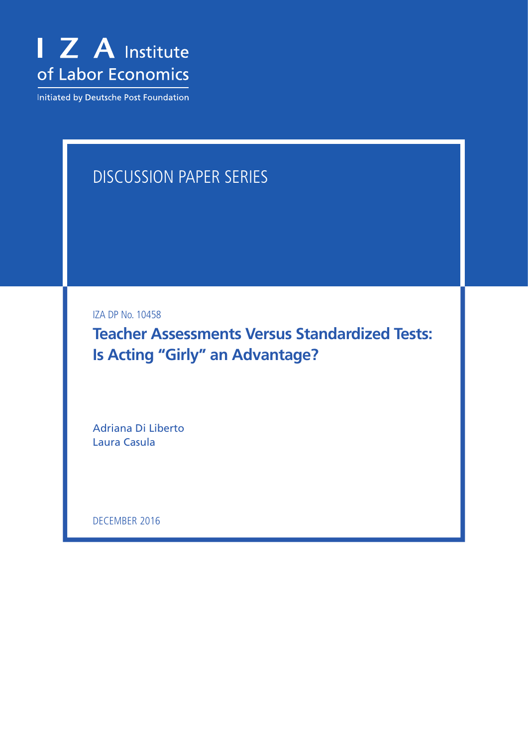

Initiated by Deutsche Post Foundation

# DISCUSSION PAPER SERIES

IZA DP No. 10458

**Teacher Assessments Versus Standardized Tests: Is Acting "Girly" an Advantage?**

Adriana Di Liberto Laura Casula

DECEMBER 2016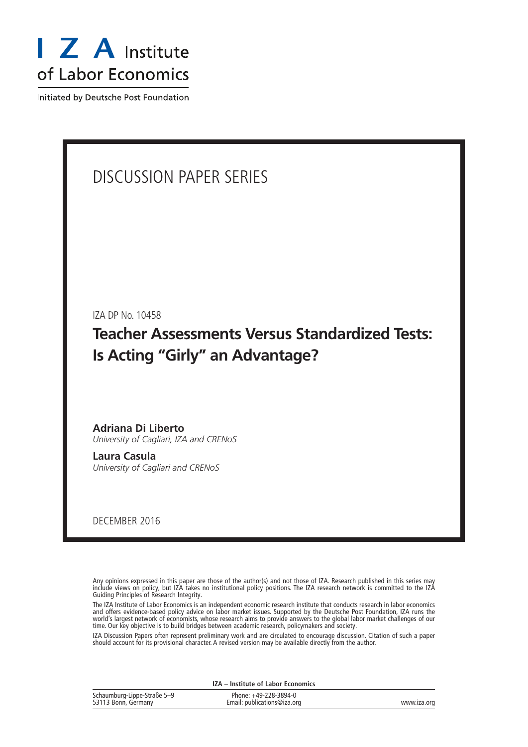

Initiated by Deutsche Post Foundation

## DISCUSSION PAPER SERIES

IZA DP No. 10458

**Teacher Assessments Versus Standardized Tests: Is Acting "Girly" an Advantage?**

**Adriana Di Liberto** *University of Cagliari, IZA and CRENoS*

**Laura Casula** *University of Cagliari and CRENoS*

DECEMBER 2016

Any opinions expressed in this paper are those of the author(s) and not those of IZA. Research published in this series may include views on policy, but IZA takes no institutional policy positions. The IZA research network is committed to the IZA Guiding Principles of Research Integrity.

The IZA Institute of Labor Economics is an independent economic research institute that conducts research in labor economics and offers evidence-based policy advice on labor market issues. Supported by the Deutsche Post Foundation, IZA runs the world's largest network of economists, whose research aims to provide answers to the global labor market challenges of our time. Our key objective is to build bridges between academic research, policymakers and society.

IZA Discussion Papers often represent preliminary work and are circulated to encourage discussion. Citation of such a paper should account for its provisional character. A revised version may be available directly from the author.

|                                                    | IZA – Institute of Labor Economics                   |             |  |  |  |  |  |
|----------------------------------------------------|------------------------------------------------------|-------------|--|--|--|--|--|
| Schaumburg-Lippe-Straße 5-9<br>53113 Bonn, Germany | Phone: +49-228-3894-0<br>Email: publications@iza.org | www.iza.org |  |  |  |  |  |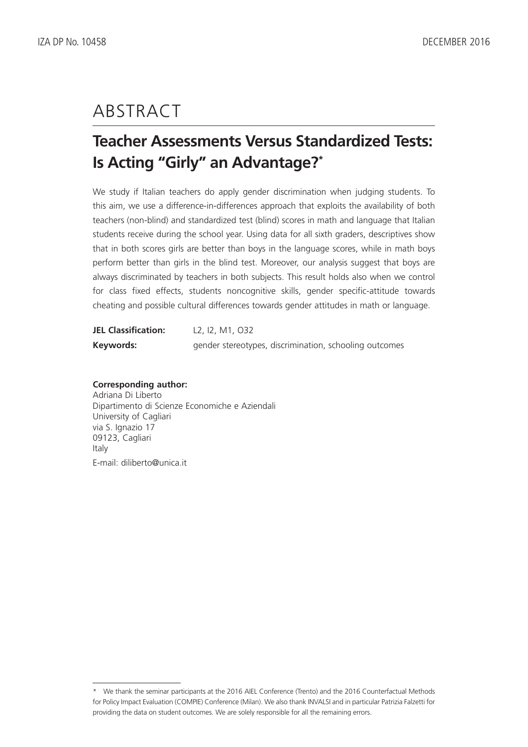## ABSTRACT

## **Teacher Assessments Versus Standardized Tests: Is Acting "Girly" an Advantage?\***

We study if Italian teachers do apply gender discrimination when judging students. To this aim, we use a difference-in-differences approach that exploits the availability of both teachers (non-blind) and standardized test (blind) scores in math and language that Italian students receive during the school year. Using data for all sixth graders, descriptives show that in both scores girls are better than boys in the language scores, while in math boys perform better than girls in the blind test. Moreover, our analysis suggest that boys are always discriminated by teachers in both subjects. This result holds also when we control for class fixed effects, students noncognitive skills, gender specific-attitude towards cheating and possible cultural differences towards gender attitudes in math or language.

| <b>JEL Classification:</b> | L2, I2, M1, O32                                        |
|----------------------------|--------------------------------------------------------|
| Keywords:                  | gender stereotypes, discrimination, schooling outcomes |

#### **Corresponding author:**

Adriana Di Liberto Dipartimento di Scienze Economiche e Aziendali University of Cagliari via S. Ignazio 17 09123, Cagliari Italy E-mail: diliberto@unica.it

<sup>\*</sup> We thank the seminar participants at the 2016 AIEL Conference (Trento) and the 2016 Counterfactual Methods for Policy Impact Evaluation (COMPIE) Conference (Milan). We also thank INVALSI and in particular Patrizia Falzetti for providing the data on student outcomes. We are solely responsible for all the remaining errors.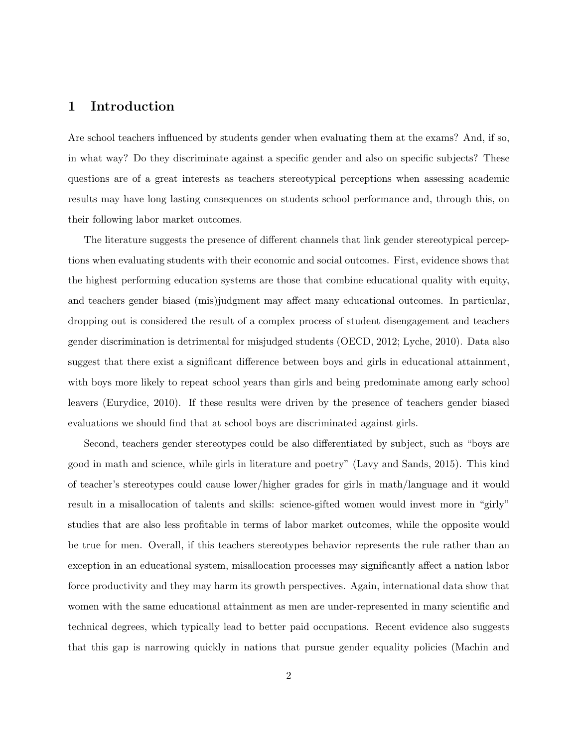### **1 Introduction**

Are school teachers influenced by students gender when evaluating them at the exams? And, if so, in what way? Do they discriminate against a specific gender and also on specific subjects? These questions are of a great interests as teachers stereotypical perceptions when assessing academic results may have long lasting consequences on students school performance and, through this, on their following labor market outcomes.

The literature suggests the presence of different channels that link gender stereotypical perceptions when evaluating students with their economic and social outcomes. First, evidence shows that the highest performing education systems are those that combine educational quality with equity, and teachers gender biased (mis)judgment may affect many educational outcomes. In particular, dropping out is considered the result of a complex process of student disengagement and teachers gender discrimination is detrimental for misjudged students (OECD, 2012; Lyche, 2010). Data also suggest that there exist a significant difference between boys and girls in educational attainment, with boys more likely to repeat school years than girls and being predominate among early school leavers (Eurydice, 2010). If these results were driven by the presence of teachers gender biased evaluations we should find that at school boys are discriminated against girls.

Second, teachers gender stereotypes could be also differentiated by subject, such as "boys are good in math and science, while girls in literature and poetry" (Lavy and Sands, 2015). This kind of teacher's stereotypes could cause lower/higher grades for girls in math/language and it would result in a misallocation of talents and skills: science-gifted women would invest more in "girly" studies that are also less profitable in terms of labor market outcomes, while the opposite would be true for men. Overall, if this teachers stereotypes behavior represents the rule rather than an exception in an educational system, misallocation processes may significantly affect a nation labor force productivity and they may harm its growth perspectives. Again, international data show that women with the same educational attainment as men are under-represented in many scientific and technical degrees, which typically lead to better paid occupations. Recent evidence also suggests that this gap is narrowing quickly in nations that pursue gender equality policies (Machin and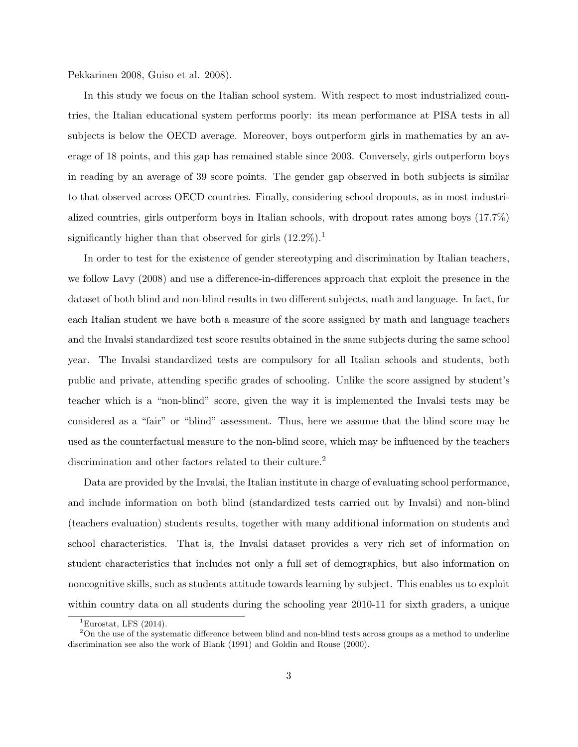Pekkarinen 2008, Guiso et al. 2008).

In this study we focus on the Italian school system. With respect to most industrialized countries, the Italian educational system performs poorly: its mean performance at PISA tests in all subjects is below the OECD average. Moreover, boys outperform girls in mathematics by an average of 18 points, and this gap has remained stable since 2003. Conversely, girls outperform boys in reading by an average of 39 score points. The gender gap observed in both subjects is similar to that observed across OECD countries. Finally, considering school dropouts, as in most industrialized countries, girls outperform boys in Italian schools, with dropout rates among boys (17.7%) significantly higher than that observed for girls  $(12.2\%)$ .<sup>1</sup>

In order to test for the existence of gender stereotyping and discrimination by Italian teachers, we follow Lavy (2008) and use a difference-in-differences approach that exploit the presence in the dataset of both blind and non-blind results in two different subjects, math and language. In fact, for each Italian student we have both a measure of the score assigned by math and language teachers and the Invalsi standardized test score results obtained in the same subjects during the same school year. The Invalsi standardized tests are compulsory for all Italian schools and students, both public and private, attending specific grades of schooling. Unlike the score assigned by student's teacher which is a "non-blind" score, given the way it is implemented the Invalsi tests may be considered as a "fair" or "blind" assessment. Thus, here we assume that the blind score may be used as the counterfactual measure to the non-blind score, which may be influenced by the teachers discrimination and other factors related to their culture.<sup>2</sup>

Data are provided by the Invalsi, the Italian institute in charge of evaluating school performance, and include information on both blind (standardized tests carried out by Invalsi) and non-blind (teachers evaluation) students results, together with many additional information on students and school characteristics. That is, the Invalsi dataset provides a very rich set of information on student characteristics that includes not only a full set of demographics, but also information on noncognitive skills, such as students attitude towards learning by subject. This enables us to exploit within country data on all students during the schooling year 2010-11 for sixth graders, a unique

<sup>&</sup>lt;sup>1</sup>Eurostat, LFS  $(2014)$ .

 $2$ On the use of the systematic difference between blind and non-blind tests across groups as a method to underline discrimination see also the work of Blank (1991) and Goldin and Rouse (2000).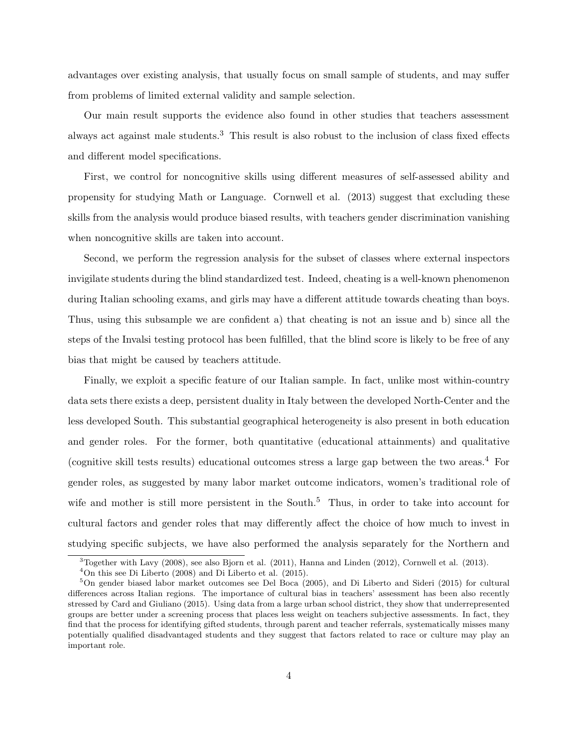advantages over existing analysis, that usually focus on small sample of students, and may suffer from problems of limited external validity and sample selection.

Our main result supports the evidence also found in other studies that teachers assessment always act against male students.<sup>3</sup> This result is also robust to the inclusion of class fixed effects and different model specifications.

First, we control for noncognitive skills using different measures of self-assessed ability and propensity for studying Math or Language. Cornwell et al. (2013) suggest that excluding these skills from the analysis would produce biased results, with teachers gender discrimination vanishing when noncognitive skills are taken into account.

Second, we perform the regression analysis for the subset of classes where external inspectors invigilate students during the blind standardized test. Indeed, cheating is a well-known phenomenon during Italian schooling exams, and girls may have a different attitude towards cheating than boys. Thus, using this subsample we are confident a) that cheating is not an issue and b) since all the steps of the Invalsi testing protocol has been fulfilled, that the blind score is likely to be free of any bias that might be caused by teachers attitude.

Finally, we exploit a specific feature of our Italian sample. In fact, unlike most within-country data sets there exists a deep, persistent duality in Italy between the developed North-Center and the less developed South. This substantial geographical heterogeneity is also present in both education and gender roles. For the former, both quantitative (educational attainments) and qualitative (cognitive skill tests results) educational outcomes stress a large gap between the two areas.<sup>4</sup> For gender roles, as suggested by many labor market outcome indicators, women's traditional role of wife and mother is still more persistent in the South.<sup>5</sup> Thus, in order to take into account for cultural factors and gender roles that may differently affect the choice of how much to invest in studying specific subjects, we have also performed the analysis separately for the Northern and

 $3$ Together with Lavy (2008), see also Bjorn et al. (2011), Hanna and Linden (2012), Cornwell et al. (2013).

 $4$ On this see Di Liberto (2008) and Di Liberto et al. (2015).

<sup>5</sup>On gender biased labor market outcomes see Del Boca (2005), and Di Liberto and Sideri (2015) for cultural differences across Italian regions. The importance of cultural bias in teachers' assessment has been also recently stressed by Card and Giuliano (2015). Using data from a large urban school district, they show that underrepresented groups are better under a screening process that places less weight on teachers subjective assessments. In fact, they find that the process for identifying gifted students, through parent and teacher referrals, systematically misses many potentially qualified disadvantaged students and they suggest that factors related to race or culture may play an important role.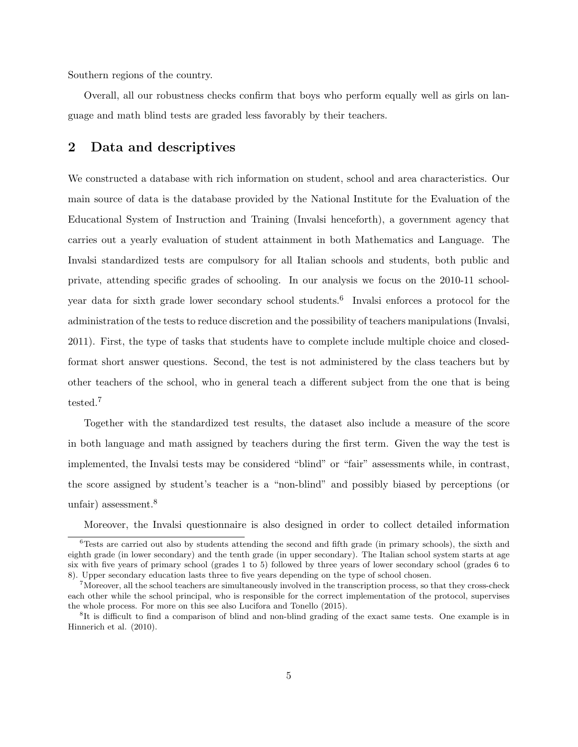Southern regions of the country.

Overall, all our robustness checks confirm that boys who perform equally well as girls on language and math blind tests are graded less favorably by their teachers.

### **2 Data and descriptives**

We constructed a database with rich information on student, school and area characteristics. Our main source of data is the database provided by the National Institute for the Evaluation of the Educational System of Instruction and Training (Invalsi henceforth), a government agency that carries out a yearly evaluation of student attainment in both Mathematics and Language. The Invalsi standardized tests are compulsory for all Italian schools and students, both public and private, attending specific grades of schooling. In our analysis we focus on the 2010-11 schoolyear data for sixth grade lower secondary school students.<sup>6</sup> Invalsi enforces a protocol for the administration of the tests to reduce discretion and the possibility of teachers manipulations (Invalsi, 2011). First, the type of tasks that students have to complete include multiple choice and closedformat short answer questions. Second, the test is not administered by the class teachers but by other teachers of the school, who in general teach a different subject from the one that is being tested.<sup>7</sup>

Together with the standardized test results, the dataset also include a measure of the score in both language and math assigned by teachers during the first term. Given the way the test is implemented, the Invalsi tests may be considered "blind" or "fair" assessments while, in contrast, the score assigned by student's teacher is a "non-blind" and possibly biased by perceptions (or unfair) assessment.<sup>8</sup>

Moreover, the Invalsi questionnaire is also designed in order to collect detailed information

 $6$ Tests are carried out also by students attending the second and fifth grade (in primary schools), the sixth and eighth grade (in lower secondary) and the tenth grade (in upper secondary). The Italian school system starts at age six with five years of primary school (grades 1 to 5) followed by three years of lower secondary school (grades 6 to 8). Upper secondary education lasts three to five years depending on the type of school chosen.

<sup>&</sup>lt;sup>7</sup>Moreover, all the school teachers are simultaneously involved in the transcription process, so that they cross-check each other while the school principal, who is responsible for the correct implementation of the protocol, supervises the whole process. For more on this see also Lucifora and Tonello (2015).

<sup>8</sup> It is difficult to find a comparison of blind and non-blind grading of the exact same tests. One example is in Hinnerich et al. (2010).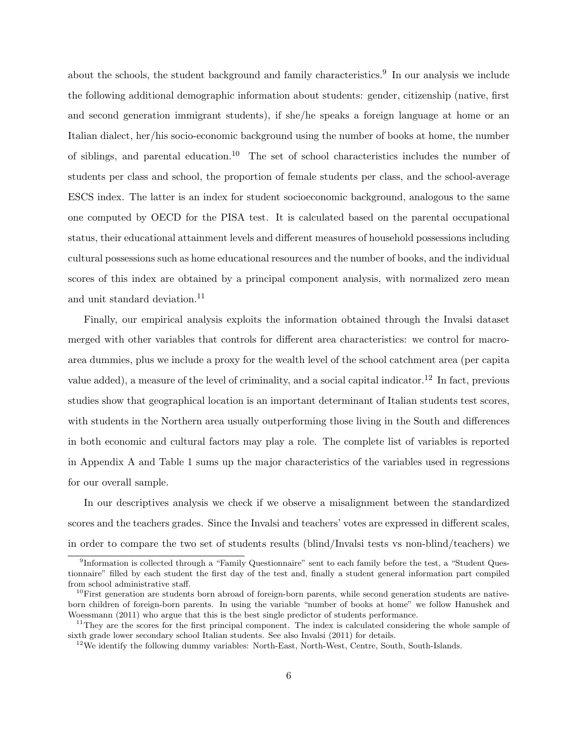about the schools, the student background and family characteristics.<sup>9</sup> In our analysis we include the following additional demographic information about students: gender, citizenship (native, first and second generation immigrant students), if she/he speaks a foreign language at home or an Italian dialect, her/his socio-economic background using the number of books at home, the number of siblings, and parental education.<sup>10</sup> The set of school characteristics includes the number of students per class and school, the proportion of female students per class, and the school-average ESCS index. The latter is an index for student socioeconomic background, analogous to the same one computed by OECD for the PISA test. It is calculated based on the parental occupational status, their educational attainment levels and different measures of household possessions including cultural possessions such as home educational resources and the number of books, and the individual scores of this index are obtained by a principal component analysis, with normalized zero mean and unit standard deviation.<sup>11</sup>

Finally, our empirical analysis exploits the information obtained through the Invalsi dataset merged with other variables that controls for different area characteristics: we control for macroarea dummies, plus we include a proxy for the wealth level of the school catchment area (per capita value added), a measure of the level of criminality, and a social capital indicator.<sup>12</sup> In fact, previous studies show that geographical location is an important determinant of Italian students test scores, with students in the Northern area usually outperforming those living in the South and differences in both economic and cultural factors may play a role. The complete list of variables is reported in Appendix A and Table 1 sums up the major characteristics of the variables used in regressions for our overall sample.

In our descriptives analysis we check if we observe a misalignment between the standardized scores and the teachers grades. Since the Invalsi and teachers' votes are expressed in different scales, in order to compare the two set of students results (blind/Invalsi tests vs non-blind/teachers) we

<sup>&</sup>lt;sup>9</sup>Information is collected through a "Family Questionnaire" sent to each family before the test, a "Student Questionnaire" filled by each student the first day of the test and, finally a student general information part compiled from school administrative staff.

 $10$ First generation are students born abroad of foreign-born parents, while second generation students are nativeborn children of foreign-born parents. In using the variable "number of books at home" we follow Hanushek and Woessmann (2011) who argue that this is the best single predictor of students performance.

 $11$ They are the scores for the first principal component. The index is calculated considering the whole sample of sixth grade lower secondary school Italian students. See also Invalsi (2011) for details.

 $12$ We identify the following dummy variables: North-East, North-West, Centre, South, South-Islands.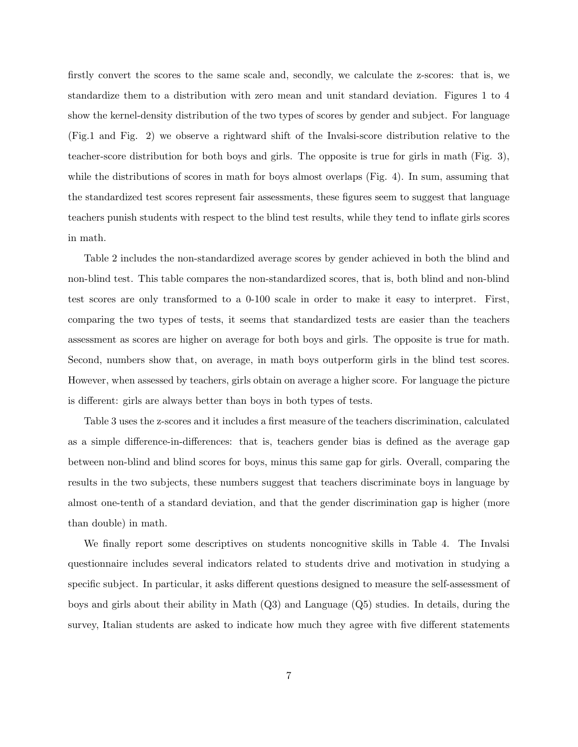firstly convert the scores to the same scale and, secondly, we calculate the z-scores: that is, we standardize them to a distribution with zero mean and unit standard deviation. Figures 1 to 4 show the kernel-density distribution of the two types of scores by gender and subject. For language (Fig.1 and Fig. 2) we observe a rightward shift of the Invalsi-score distribution relative to the teacher-score distribution for both boys and girls. The opposite is true for girls in math (Fig. 3), while the distributions of scores in math for boys almost overlaps (Fig. 4). In sum, assuming that the standardized test scores represent fair assessments, these figures seem to suggest that language teachers punish students with respect to the blind test results, while they tend to inflate girls scores in math.

Table 2 includes the non-standardized average scores by gender achieved in both the blind and non-blind test. This table compares the non-standardized scores, that is, both blind and non-blind test scores are only transformed to a 0-100 scale in order to make it easy to interpret. First, comparing the two types of tests, it seems that standardized tests are easier than the teachers assessment as scores are higher on average for both boys and girls. The opposite is true for math. Second, numbers show that, on average, in math boys outperform girls in the blind test scores. However, when assessed by teachers, girls obtain on average a higher score. For language the picture is different: girls are always better than boys in both types of tests.

Table 3 uses the z-scores and it includes a first measure of the teachers discrimination, calculated as a simple difference-in-differences: that is, teachers gender bias is defined as the average gap between non-blind and blind scores for boys, minus this same gap for girls. Overall, comparing the results in the two subjects, these numbers suggest that teachers discriminate boys in language by almost one-tenth of a standard deviation, and that the gender discrimination gap is higher (more than double) in math.

We finally report some descriptives on students noncognitive skills in Table 4. The Invalsi questionnaire includes several indicators related to students drive and motivation in studying a specific subject. In particular, it asks different questions designed to measure the self-assessment of boys and girls about their ability in Math (Q3) and Language (Q5) studies. In details, during the survey, Italian students are asked to indicate how much they agree with five different statements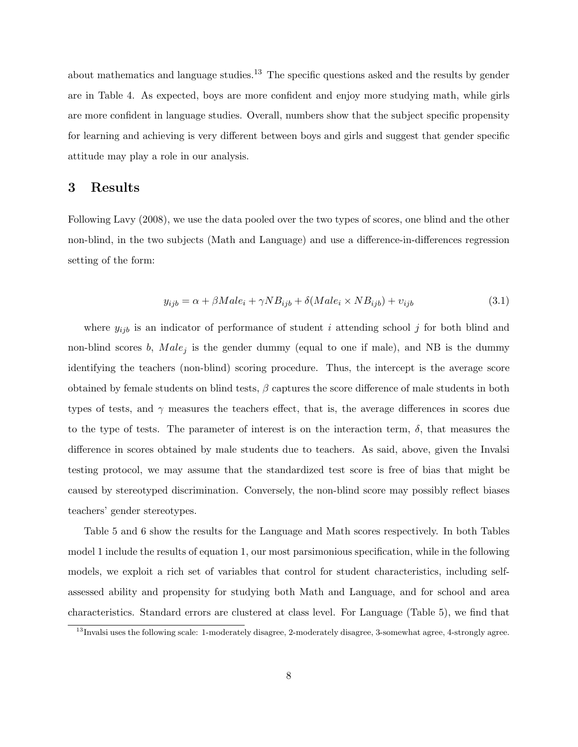about mathematics and language studies.<sup>13</sup> The specific questions asked and the results by gender are in Table 4. As expected, boys are more confident and enjoy more studying math, while girls are more confident in language studies. Overall, numbers show that the subject specific propensity for learning and achieving is very different between boys and girls and suggest that gender specific attitude may play a role in our analysis.

#### **3 Results**

Following Lavy (2008), we use the data pooled over the two types of scores, one blind and the other non-blind, in the two subjects (Math and Language) and use a difference-in-differences regression setting of the form:

$$
y_{ijb} = \alpha + \beta Male_i + \gamma NB_{ijb} + \delta(Male_i \times NB_{ijb}) + v_{ijb}
$$
\n(3.1)

where  $y_{ijb}$  is an indicator of performance of student *i* attending school *j* for both blind and non-blind scores  $b$ ,  $Male<sub>i</sub>$  is the gender dummy (equal to one if male), and NB is the dummy identifying the teachers (non-blind) scoring procedure. Thus, the intercept is the average score obtained by female students on blind tests, *β* captures the score difference of male students in both types of tests, and *γ* measures the teachers effect, that is, the average differences in scores due to the type of tests. The parameter of interest is on the interaction term,  $\delta$ , that measures the difference in scores obtained by male students due to teachers. As said, above, given the Invalsi testing protocol, we may assume that the standardized test score is free of bias that might be caused by stereotyped discrimination. Conversely, the non-blind score may possibly reflect biases teachers' gender stereotypes.

Table 5 and 6 show the results for the Language and Math scores respectively. In both Tables model 1 include the results of equation 1, our most parsimonious specification, while in the following models, we exploit a rich set of variables that control for student characteristics, including selfassessed ability and propensity for studying both Math and Language, and for school and area characteristics. Standard errors are clustered at class level. For Language (Table 5), we find that

<sup>&</sup>lt;sup>13</sup>Invalsi uses the following scale: 1-moderately disagree, 2-moderately disagree, 3-somewhat agree, 4-strongly agree.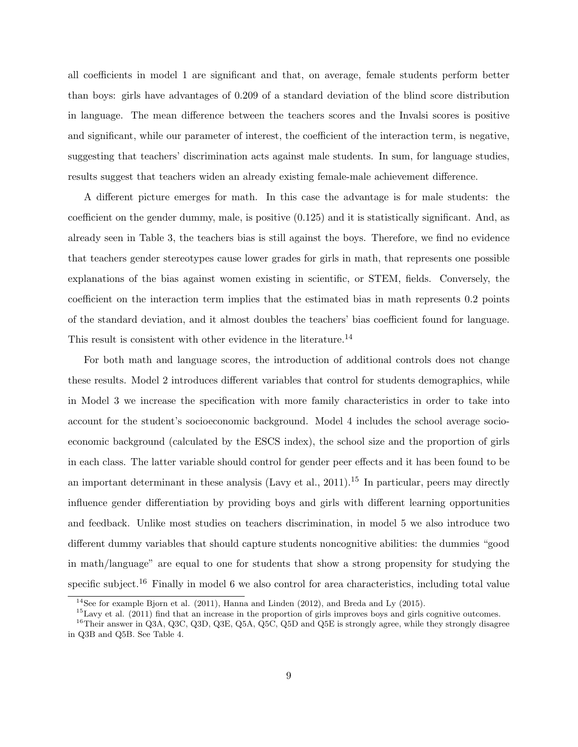all coefficients in model 1 are significant and that, on average, female students perform better than boys: girls have advantages of 0.209 of a standard deviation of the blind score distribution in language. The mean difference between the teachers scores and the Invalsi scores is positive and significant, while our parameter of interest, the coefficient of the interaction term, is negative, suggesting that teachers' discrimination acts against male students. In sum, for language studies, results suggest that teachers widen an already existing female-male achievement difference.

A different picture emerges for math. In this case the advantage is for male students: the coefficient on the gender dummy, male, is positive (0.125) and it is statistically significant. And, as already seen in Table 3, the teachers bias is still against the boys. Therefore, we find no evidence that teachers gender stereotypes cause lower grades for girls in math, that represents one possible explanations of the bias against women existing in scientific, or STEM, fields. Conversely, the coefficient on the interaction term implies that the estimated bias in math represents 0.2 points of the standard deviation, and it almost doubles the teachers' bias coefficient found for language. This result is consistent with other evidence in the literature.<sup>14</sup>

For both math and language scores, the introduction of additional controls does not change these results. Model 2 introduces different variables that control for students demographics, while in Model 3 we increase the specification with more family characteristics in order to take into account for the student's socioeconomic background. Model 4 includes the school average socioeconomic background (calculated by the ESCS index), the school size and the proportion of girls in each class. The latter variable should control for gender peer effects and it has been found to be an important determinant in these analysis (Lavy et al., 2011).<sup>15</sup> In particular, peers may directly influence gender differentiation by providing boys and girls with different learning opportunities and feedback. Unlike most studies on teachers discrimination, in model 5 we also introduce two different dummy variables that should capture students noncognitive abilities: the dummies "good in math/language" are equal to one for students that show a strong propensity for studying the specific subject.<sup>16</sup> Finally in model 6 we also control for area characteristics, including total value

<sup>&</sup>lt;sup>14</sup>See for example Bjorn et al.  $(2011)$ , Hanna and Linden  $(2012)$ , and Breda and Ly  $(2015)$ .

 $^{15}$ Lavy et al. (2011) find that an increase in the proportion of girls improves boys and girls cognitive outcomes.

<sup>&</sup>lt;sup>16</sup>Their answer in Q3A, Q3C, Q3D, Q3E, Q5A, Q5C, Q5D and Q5E is strongly agree, while they strongly disagree in Q3B and Q5B. See Table 4.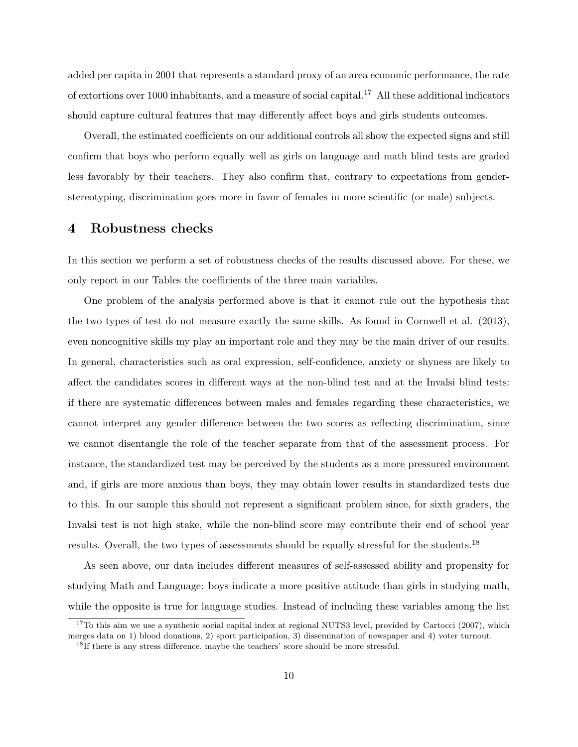added per capita in 2001 that represents a standard proxy of an area economic performance, the rate of extortions over 1000 inhabitants, and a measure of social capital.<sup>17</sup> All these additional indicators should capture cultural features that may differently affect boys and girls students outcomes.

Overall, the estimated coefficients on our additional controls all show the expected signs and still confirm that boys who perform equally well as girls on language and math blind tests are graded less favorably by their teachers. They also confirm that, contrary to expectations from genderstereotyping, discrimination goes more in favor of females in more scientific (or male) subjects.

#### **4 Robustness checks**

In this section we perform a set of robustness checks of the results discussed above. For these, we only report in our Tables the coefficients of the three main variables.

One problem of the analysis performed above is that it cannot rule out the hypothesis that the two types of test do not measure exactly the same skills. As found in Cornwell et al. (2013), even noncognitive skills my play an important role and they may be the main driver of our results. In general, characteristics such as oral expression, self-confidence, anxiety or shyness are likely to affect the candidates scores in different ways at the non-blind test and at the Invalsi blind tests: if there are systematic differences between males and females regarding these characteristics, we cannot interpret any gender difference between the two scores as reflecting discrimination, since we cannot disentangle the role of the teacher separate from that of the assessment process. For instance, the standardized test may be perceived by the students as a more pressured environment and, if girls are more anxious than boys, they may obtain lower results in standardized tests due to this. In our sample this should not represent a significant problem since, for sixth graders, the Invalsi test is not high stake, while the non-blind score may contribute their end of school year results. Overall, the two types of assessments should be equally stressful for the students.<sup>18</sup>

As seen above, our data includes different measures of self-assessed ability and propensity for studying Math and Language: boys indicate a more positive attitude than girls in studying math, while the opposite is true for language studies. Instead of including these variables among the list

 $17$ To this aim we use a synthetic social capital index at regional NUTS3 level, provided by Cartocci (2007), which merges data on 1) blood donations, 2) sport participation, 3) dissemination of newspaper and 4) voter turnout.

<sup>&</sup>lt;sup>18</sup>If there is any stress difference, maybe the teachers' score should be more stressful.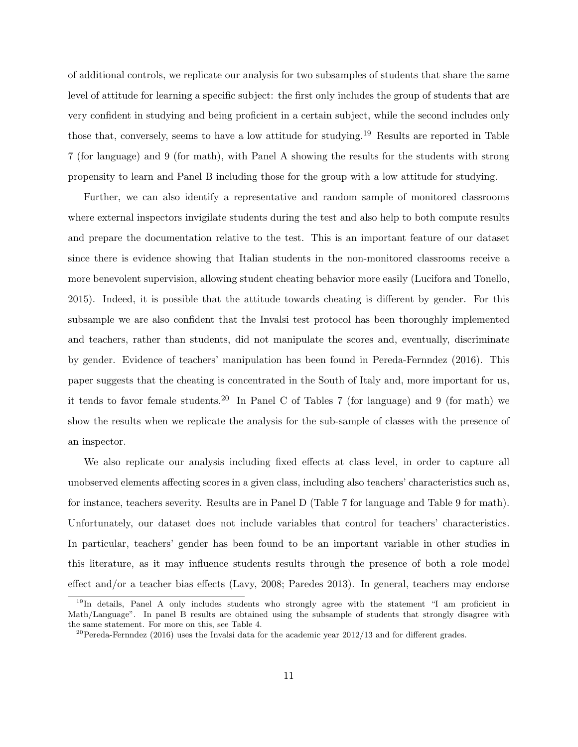of additional controls, we replicate our analysis for two subsamples of students that share the same level of attitude for learning a specific subject: the first only includes the group of students that are very confident in studying and being proficient in a certain subject, while the second includes only those that, conversely, seems to have a low attitude for studying.<sup>19</sup> Results are reported in Table 7 (for language) and 9 (for math), with Panel A showing the results for the students with strong propensity to learn and Panel B including those for the group with a low attitude for studying.

Further, we can also identify a representative and random sample of monitored classrooms where external inspectors invigilate students during the test and also help to both compute results and prepare the documentation relative to the test. This is an important feature of our dataset since there is evidence showing that Italian students in the non-monitored classrooms receive a more benevolent supervision, allowing student cheating behavior more easily (Lucifora and Tonello, 2015). Indeed, it is possible that the attitude towards cheating is different by gender. For this subsample we are also confident that the Invalsi test protocol has been thoroughly implemented and teachers, rather than students, did not manipulate the scores and, eventually, discriminate by gender. Evidence of teachers' manipulation has been found in Pereda-Fernndez (2016). This paper suggests that the cheating is concentrated in the South of Italy and, more important for us, it tends to favor female students.<sup>20</sup> In Panel C of Tables 7 (for language) and 9 (for math) we show the results when we replicate the analysis for the sub-sample of classes with the presence of an inspector.

We also replicate our analysis including fixed effects at class level, in order to capture all unobserved elements affecting scores in a given class, including also teachers' characteristics such as, for instance, teachers severity. Results are in Panel D (Table 7 for language and Table 9 for math). Unfortunately, our dataset does not include variables that control for teachers' characteristics. In particular, teachers' gender has been found to be an important variable in other studies in this literature, as it may influence students results through the presence of both a role model effect and/or a teacher bias effects (Lavy, 2008; Paredes 2013). In general, teachers may endorse

<sup>&</sup>lt;sup>19</sup>In details, Panel A only includes students who strongly agree with the statement "I am proficient in Math/Language". In panel B results are obtained using the subsample of students that strongly disagree with the same statement. For more on this, see Table 4.

 $^{20}$ Pereda-Fernndez (2016) uses the Invalsi data for the academic year 2012/13 and for different grades.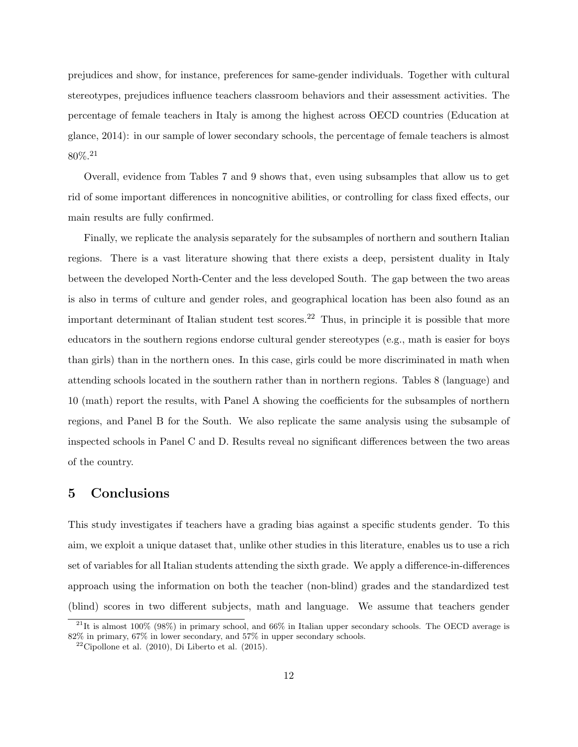prejudices and show, for instance, preferences for same-gender individuals. Together with cultural stereotypes, prejudices influence teachers classroom behaviors and their assessment activities. The percentage of female teachers in Italy is among the highest across OECD countries (Education at glance, 2014): in our sample of lower secondary schools, the percentage of female teachers is almost 80%.<sup>21</sup>

Overall, evidence from Tables 7 and 9 shows that, even using subsamples that allow us to get rid of some important differences in noncognitive abilities, or controlling for class fixed effects, our main results are fully confirmed.

Finally, we replicate the analysis separately for the subsamples of northern and southern Italian regions. There is a vast literature showing that there exists a deep, persistent duality in Italy between the developed North-Center and the less developed South. The gap between the two areas is also in terms of culture and gender roles, and geographical location has been also found as an important determinant of Italian student test scores.<sup>22</sup> Thus, in principle it is possible that more educators in the southern regions endorse cultural gender stereotypes (e.g., math is easier for boys than girls) than in the northern ones. In this case, girls could be more discriminated in math when attending schools located in the southern rather than in northern regions. Tables 8 (language) and 10 (math) report the results, with Panel A showing the coefficients for the subsamples of northern regions, and Panel B for the South. We also replicate the same analysis using the subsample of inspected schools in Panel C and D. Results reveal no significant differences between the two areas of the country.

#### **5 Conclusions**

This study investigates if teachers have a grading bias against a specific students gender. To this aim, we exploit a unique dataset that, unlike other studies in this literature, enables us to use a rich set of variables for all Italian students attending the sixth grade. We apply a difference-in-differences approach using the information on both the teacher (non-blind) grades and the standardized test (blind) scores in two different subjects, math and language. We assume that teachers gender

<sup>&</sup>lt;sup>21</sup>It is almost 100% (98%) in primary school, and 66% in Italian upper secondary schools. The OECD average is 82% in primary, 67% in lower secondary, and 57% in upper secondary schools.

 $22$ Cipollone et al. (2010), Di Liberto et al. (2015).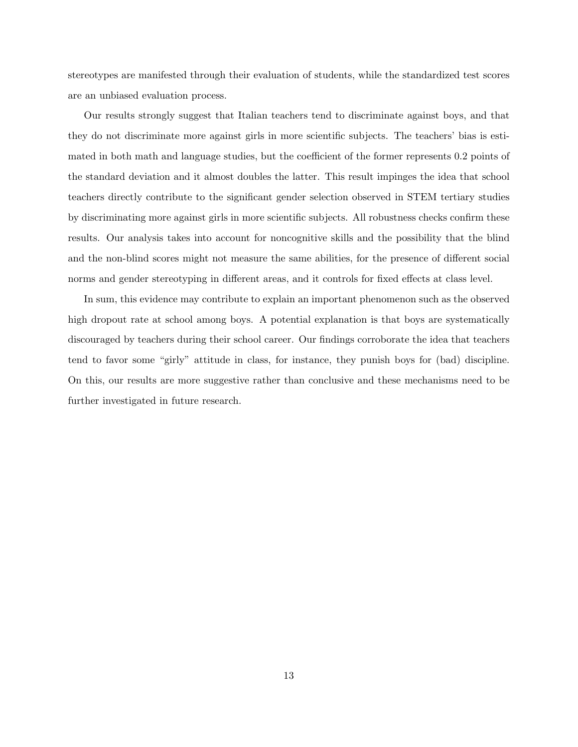stereotypes are manifested through their evaluation of students, while the standardized test scores are an unbiased evaluation process.

Our results strongly suggest that Italian teachers tend to discriminate against boys, and that they do not discriminate more against girls in more scientific subjects. The teachers' bias is estimated in both math and language studies, but the coefficient of the former represents 0.2 points of the standard deviation and it almost doubles the latter. This result impinges the idea that school teachers directly contribute to the significant gender selection observed in STEM tertiary studies by discriminating more against girls in more scientific subjects. All robustness checks confirm these results. Our analysis takes into account for noncognitive skills and the possibility that the blind and the non-blind scores might not measure the same abilities, for the presence of different social norms and gender stereotyping in different areas, and it controls for fixed effects at class level.

In sum, this evidence may contribute to explain an important phenomenon such as the observed high dropout rate at school among boys. A potential explanation is that boys are systematically discouraged by teachers during their school career. Our findings corroborate the idea that teachers tend to favor some "girly" attitude in class, for instance, they punish boys for (bad) discipline. On this, our results are more suggestive rather than conclusive and these mechanisms need to be further investigated in future research.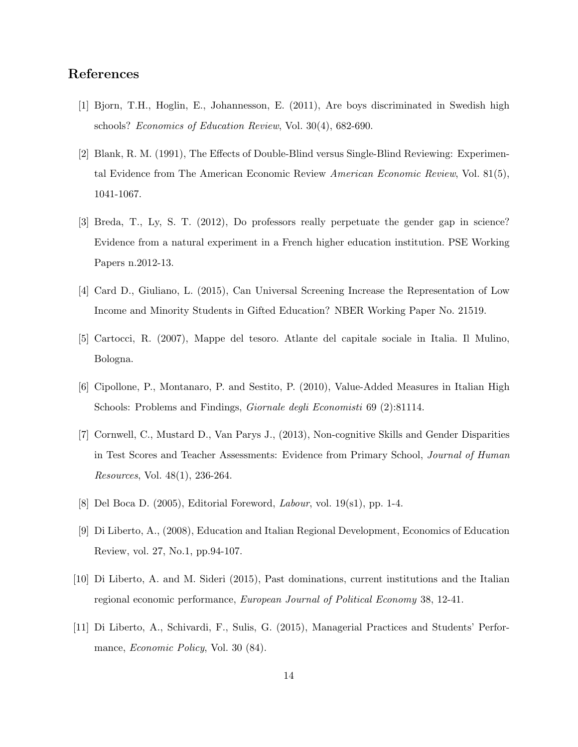### **References**

- [1] Bjorn, T.H., Hoglin, E., Johannesson, E. (2011), Are boys discriminated in Swedish high schools? *Economics of Education Review*, Vol. 30(4), 682-690.
- [2] Blank, R. M. (1991), The Effects of Double-Blind versus Single-Blind Reviewing: Experimental Evidence from The American Economic Review *American Economic Review*, Vol. 81(5), 1041-1067.
- [3] Breda, T., Ly, S. T. (2012), Do professors really perpetuate the gender gap in science? Evidence from a natural experiment in a French higher education institution. PSE Working Papers n.2012-13.
- [4] Card D., Giuliano, L. (2015), Can Universal Screening Increase the Representation of Low Income and Minority Students in Gifted Education? NBER Working Paper No. 21519.
- [5] Cartocci, R. (2007), Mappe del tesoro. Atlante del capitale sociale in Italia. Il Mulino, Bologna.
- [6] Cipollone, P., Montanaro, P. and Sestito, P. (2010), Value-Added Measures in Italian High Schools: Problems and Findings, *Giornale degli Economisti* 69 (2):81114.
- [7] Cornwell, C., Mustard D., Van Parys J., (2013), Non-cognitive Skills and Gender Disparities in Test Scores and Teacher Assessments: Evidence from Primary School, *Journal of Human Resources*, Vol. 48(1), 236-264.
- [8] Del Boca D. (2005), Editorial Foreword, *Labour*, vol. 19(s1), pp. 1-4.
- [9] Di Liberto, A., (2008), Education and Italian Regional Development, Economics of Education Review, vol. 27, No.1, pp.94-107.
- [10] Di Liberto, A. and M. Sideri (2015), Past dominations, current institutions and the Italian regional economic performance, *European Journal of Political Economy* 38, 12-41.
- [11] Di Liberto, A., Schivardi, F., Sulis, G. (2015), Managerial Practices and Students' Performance, *Economic Policy*, Vol. 30 (84).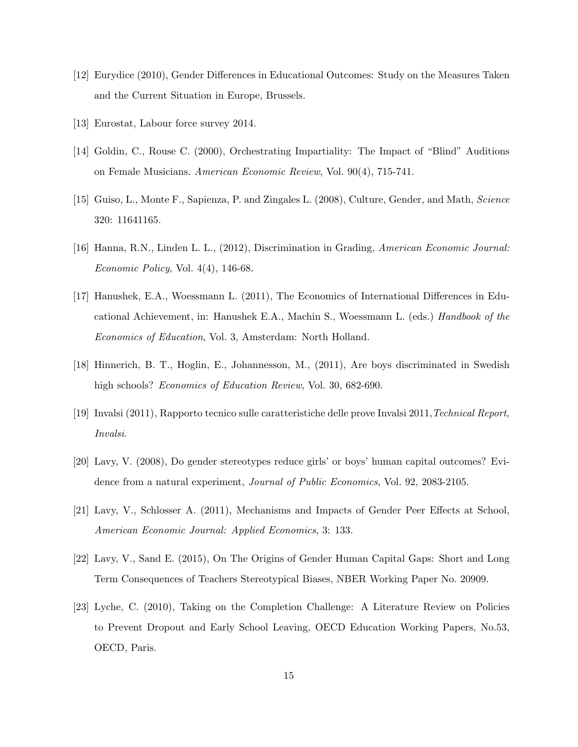- [12] Eurydice (2010), Gender Differences in Educational Outcomes: Study on the Measures Taken and the Current Situation in Europe, Brussels.
- [13] Eurostat, Labour force survey 2014.
- [14] Goldin, C., Rouse C. (2000), Orchestrating Impartiality: The Impact of "Blind" Auditions on Female Musicians. *American Economic Review*, Vol. 90(4), 715-741.
- [15] Guiso, L., Monte F., Sapienza, P. and Zingales L. (2008), Culture, Gender, and Math, *Science* 320: 11641165.
- [16] Hanna, R.N., Linden L. L., (2012), Discrimination in Grading, *American Economic Journal: Economic Policy*, Vol. 4(4), 146-68.
- [17] Hanushek, E.A., Woessmann L. (2011), The Economics of International Differences in Educational Achievement, in: Hanushek E.A., Machin S., Woessmann L. (eds.) *Handbook of the Economics of Education*, Vol. 3, Amsterdam: North Holland.
- [18] Hinnerich, B. T., Hoglin, E., Johannesson, M., (2011), Are boys discriminated in Swedish high schools? *Economics of Education Review*, Vol. 30, 682-690.
- [19] Invalsi (2011), Rapporto tecnico sulle caratteristiche delle prove Invalsi 2011,*Technical Report, Invalsi*.
- [20] Lavy, V. (2008), Do gender stereotypes reduce girls' or boys' human capital outcomes? Evidence from a natural experiment, *Journal of Public Economics*, Vol. 92, 2083-2105.
- [21] Lavy, V., Schlosser A. (2011), Mechanisms and Impacts of Gender Peer Effects at School, *American Economic Journal: Applied Economics*, 3: 133.
- [22] Lavy, V., Sand E. (2015), On The Origins of Gender Human Capital Gaps: Short and Long Term Consequences of Teachers Stereotypical Biases, NBER Working Paper No. 20909.
- [23] Lyche, C. (2010), Taking on the Completion Challenge: A Literature Review on Policies to Prevent Dropout and Early School Leaving, OECD Education Working Papers, No.53, OECD, Paris.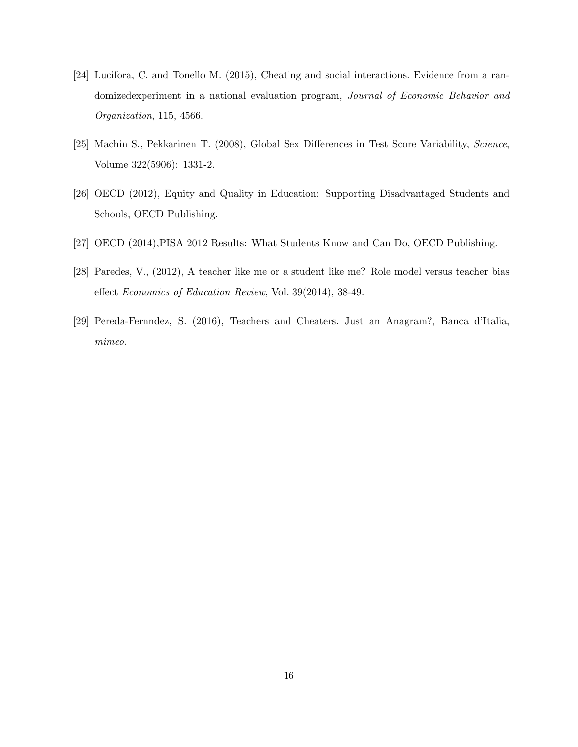- [24] Lucifora, C. and Tonello M. (2015), Cheating and social interactions. Evidence from a randomizedexperiment in a national evaluation program, *Journal of Economic Behavior and Organization*, 115, 4566.
- [25] Machin S., Pekkarinen T. (2008), Global Sex Differences in Test Score Variability, *Science*, Volume 322(5906): 1331-2.
- [26] OECD (2012), Equity and Quality in Education: Supporting Disadvantaged Students and Schools, OECD Publishing.
- [27] OECD (2014),PISA 2012 Results: What Students Know and Can Do, OECD Publishing.
- [28] Paredes, V., (2012), A teacher like me or a student like me? Role model versus teacher bias effect *Economics of Education Review*, Vol. 39(2014), 38-49.
- [29] Pereda-Fernndez, S. (2016), Teachers and Cheaters. Just an Anagram?, Banca d'Italia, *mimeo*.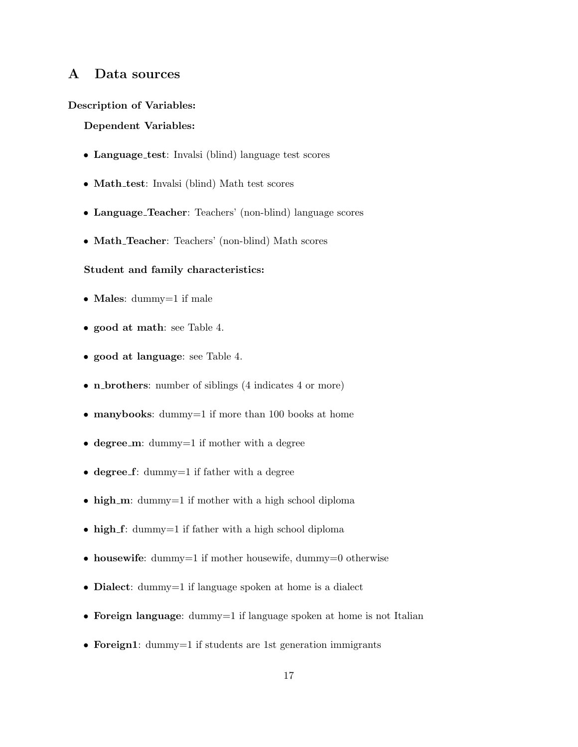### **A Data sources**

#### **Description of Variables:**

#### **Dependent Variables:**

- **Language test**: Invalsi (blind) language test scores
- **Math test**: Invalsi (blind) Math test scores
- **Language Teacher**: Teachers' (non-blind) language scores
- **Math Teacher**: Teachers' (non-blind) Math scores

#### **Student and family characteristics:**

- **Males**: dummy=1 if male
- **good at math**: see Table 4.
- **good at language**: see Table 4.
- **n brothers**: number of siblings (4 indicates 4 or more)
- **manybooks**: dummy=1 if more than 100 books at home
- **degree** m: dummy=1 if mother with a degree
- **degree f**: dummy=1 if father with a degree
- **high\_m**: dummy=1 if mother with a high school diploma
- **high\_f**: dummy=1 if father with a high school diploma
- **housewife**: dummy=1 if mother housewife, dummy=0 otherwise
- **Dialect**: dummy=1 if language spoken at home is a dialect
- **Foreign language**: dummy=1 if language spoken at home is not Italian
- **Foreign1**: dummy=1 if students are 1st generation immigrants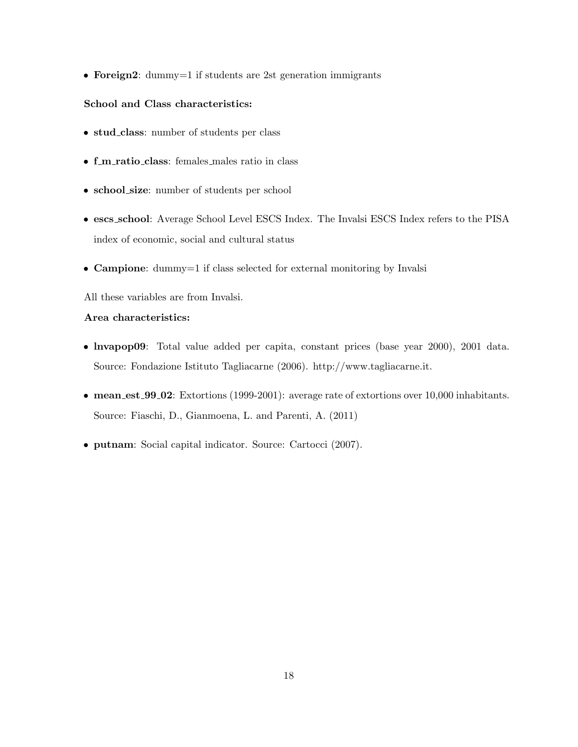• **Foreign2**: dummy=1 if students are 2st generation immigrants

#### **School and Class characteristics:**

- **stud class**: number of students per class
- **f m ratio class**: females males ratio in class
- **school size**: number of students per school
- **escs school**: Average School Level ESCS Index. The Invalsi ESCS Index refers to the PISA index of economic, social and cultural status
- **Campione**: dummy=1 if class selected for external monitoring by Invalsi
- All these variables are from Invalsi.

#### **Area characteristics:**

- **lnvapop09**: Total value added per capita, constant prices (base year 2000), 2001 data. Source: Fondazione Istituto Tagliacarne (2006). http://www.tagliacarne.it.
- **mean est 99 02**: Extortions (1999-2001): average rate of extortions over 10,000 inhabitants. Source: Fiaschi, D., Gianmoena, L. and Parenti, A. (2011)
- **putnam**: Social capital indicator. Source: Cartocci (2007).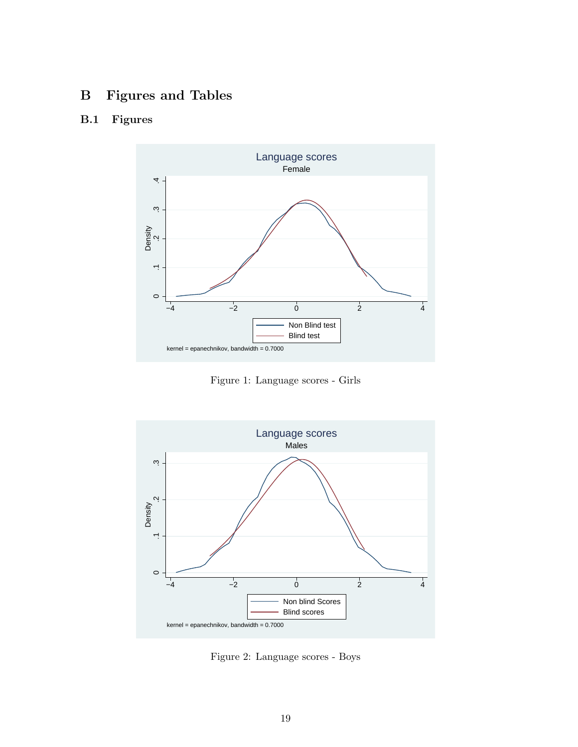## **B Figures and Tables**

## **B.1 Figures**



Figure 1: Language scores - Girls



Figure 2: Language scores - Boys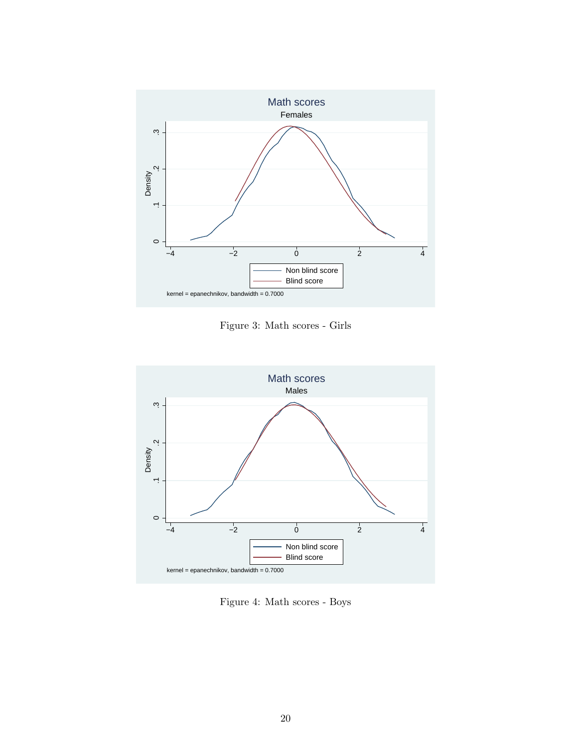

Figure 3: Math scores - Girls



Figure 4: Math scores - Boys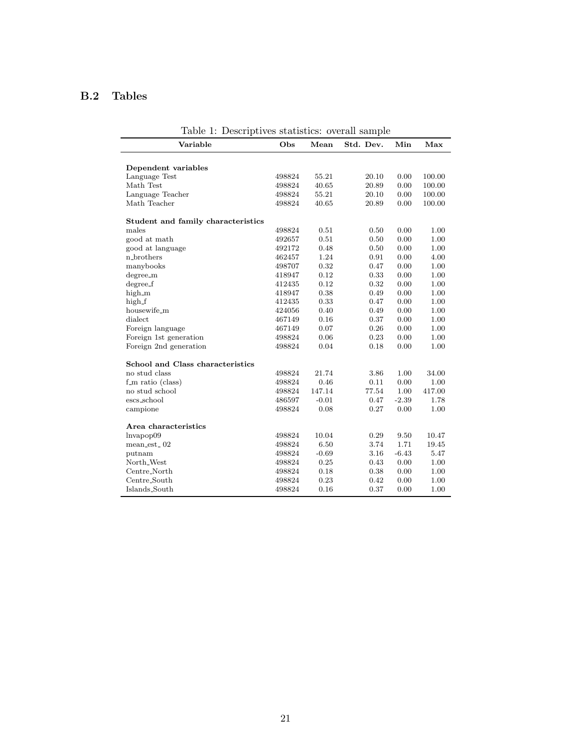## **B.2 Tables**

| Table 1: Descriptives statistics: overall sample |        |         |           |         |        |
|--------------------------------------------------|--------|---------|-----------|---------|--------|
| Variable                                         | Obs    | Mean    | Std. Dev. | Min     | Max    |
| Dependent variables                              |        |         |           |         |        |
| Language Test                                    | 498824 | 55.21   | 20.10     | 0.00    | 100.00 |
| Math Test                                        | 498824 | 40.65   | 20.89     | 0.00    | 100.00 |
| Language Teacher                                 | 498824 | 55.21   | 20.10     | 0.00    | 100.00 |
| Math Teacher                                     | 498824 | 40.65   | 20.89     | 0.00    | 100.00 |
| Student and family characteristics               |        |         |           |         |        |
| males                                            | 498824 | 0.51    | 0.50      | 0.00    | 1.00   |
| good at math                                     | 492657 | 0.51    | 0.50      | 0.00    | 1.00   |
| good at language                                 | 492172 | 0.48    | 0.50      | 0.00    | 1.00   |
| n_brothers                                       | 462457 | 1.24    | 0.91      | 0.00    | 4.00   |
| manybooks                                        | 498707 | 0.32    | 0.47      | 0.00    | 1.00   |
| degree_m                                         | 418947 | 0.12    | 0.33      | 0.00    | 1.00   |
| degree_f                                         | 412435 | 0.12    | 0.32      | 0.00    | 1.00   |
| high_m                                           | 418947 | 0.38    | 0.49      | 0.00    | 1.00   |
| high_f                                           | 412435 | 0.33    | 0.47      | 0.00    | 1.00   |
| housewife_m                                      | 424056 | 0.40    | 0.49      | 0.00    | 1.00   |
| dialect                                          | 467149 | 0.16    | 0.37      | 0.00    | 1.00   |
| Foreign language                                 | 467149 | 0.07    | 0.26      | 0.00    | 1.00   |
| Foreign 1st generation                           | 498824 | 0.06    | 0.23      | 0.00    | 1.00   |
| Foreign 2nd generation                           | 498824 | 0.04    | 0.18      | 0.00    | 1.00   |
| School and Class characteristics                 |        |         |           |         |        |
| no stud class                                    | 498824 | 21.74   | 3.86      | 1.00    | 34.00  |
| $f_{\text{m}}$ ratio (class)                     | 498824 | 0.46    | 0.11      | 0.00    | 1.00   |
| no stud school                                   | 498824 | 147.14  | 77.54     | 1.00    | 417.00 |
| escs_school                                      | 486597 | $-0.01$ | 0.47      | $-2.39$ | 1.78   |
| campione                                         | 498824 | 0.08    | 0.27      | 0.00    | 1.00   |
| Area characteristics                             |        |         |           |         |        |
| lnvapop09                                        | 498824 | 10.04   | 0.29      | 9.50    | 10.47  |
| mean_est_02                                      | 498824 | 6.50    | 3.74      | 1.71    | 19.45  |
| putnam                                           | 498824 | $-0.69$ | 3.16      | $-6.43$ | 5.47   |
| North <sub>-West</sub>                           | 498824 | 0.25    | 0.43      | 0.00    | 1.00   |
| Centre_North                                     | 498824 | 0.18    | 0.38      | 0.00    | 1.00   |
| Centre_South                                     | 498824 | 0.23    | 0.42      | 0.00    | 1.00   |
| Islands_South                                    | 498824 | 0.16    | 0.37      | 0.00    | 1.00   |

Table 1: Descriptives statistics: overall sample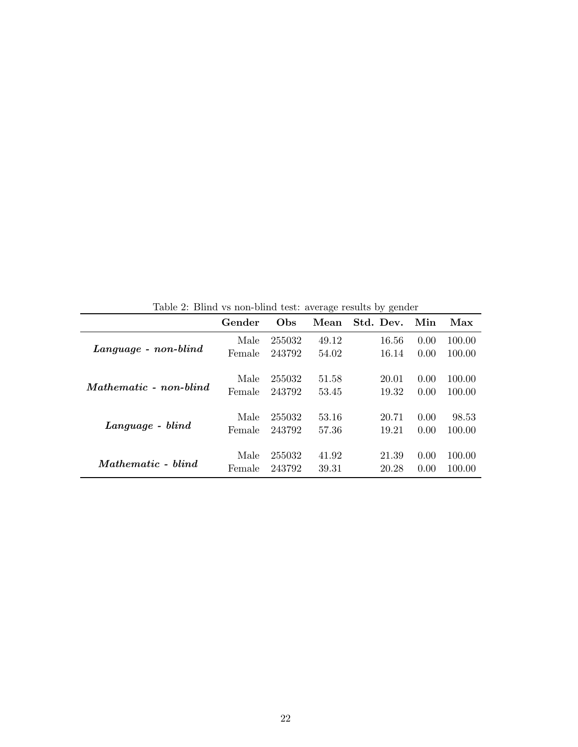|                           | Gender | Obs    | Mean  | Std. Dev. | Min  | Max    |
|---------------------------|--------|--------|-------|-----------|------|--------|
|                           | Male   | 255032 | 49.12 | 16.56     | 0.00 | 100.00 |
| Language - non-blind      | Female | 243792 | 54.02 | 16.14     | 0.00 | 100.00 |
|                           | Male   | 255032 | 51.58 | 20.01     | 0.00 | 100.00 |
| Mathematic - non-blind    | Female | 243792 | 53.45 | 19.32     | 0.00 | 100.00 |
| Language - blind          | Male   | 255032 | 53.16 | 20.71     | 0.00 | 98.53  |
|                           | Female | 243792 | 57.36 | 19.21     | 0.00 | 100.00 |
|                           | Male   | 255032 | 41.92 | 21.39     | 0.00 | 100.00 |
| <i>Mathematic</i> - blind | Female | 243792 | 39.31 | 20.28     | 0.00 | 100.00 |

Table 2: Blind vs non-blind test: average results by gender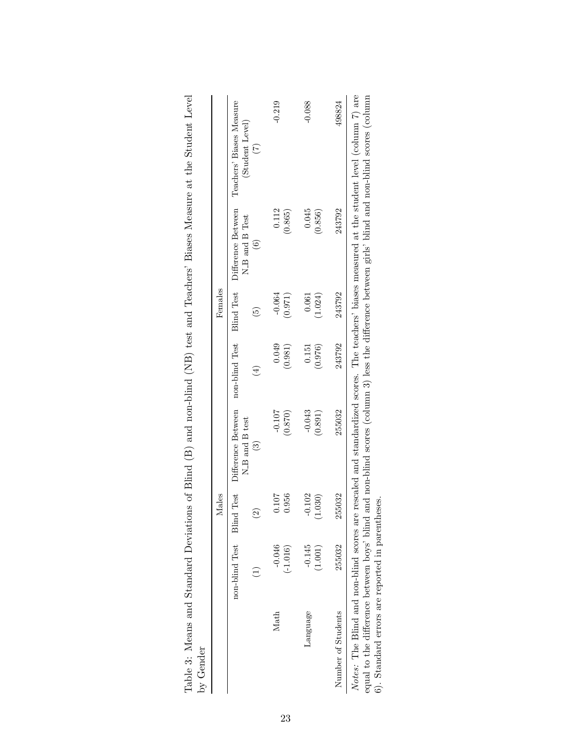|                                                                                            |                        | Males                                   |                                                       |                                        | Females                                       |                                                       |                                                                                                                                                                                                                                                        |
|--------------------------------------------------------------------------------------------|------------------------|-----------------------------------------|-------------------------------------------------------|----------------------------------------|-----------------------------------------------|-------------------------------------------------------|--------------------------------------------------------------------------------------------------------------------------------------------------------------------------------------------------------------------------------------------------------|
|                                                                                            | non-blind Test         | <b>Blind Test</b><br>$\widehat{\Omega}$ | Difference Between<br>N_B and B test<br>$\widehat{3}$ | non-blind Test<br>$\left( \pm \right)$ | <b>Blind Test</b><br>$\widetilde{\mathbf{5}}$ | Difference Between<br>N_B and B Test<br>$\widehat{6}$ | Teachers' Biases Measure<br>(Student Level)<br>$\left( 7\right)$                                                                                                                                                                                       |
| Math                                                                                       | $-0.046$<br>$(-1.016)$ | 0.956<br>0.107                          | $-0.107$<br>(0.870)                                   | 0.049<br>(0.981)                       | $-0.064$<br>(0.971)                           | 0.112<br>(0.865)                                      | $-0.219$                                                                                                                                                                                                                                               |
| Language                                                                                   | $-0.145$<br>(1.001)    | $-0.102$<br>1.030)                      | $-0.043$<br>(0.891)                                   | (0.976)<br>0.151                       | (1.024)<br>0.061                              | 0.045<br>(0.856)                                      | $-0.088$                                                                                                                                                                                                                                               |
| Number of Students                                                                         | 255032                 | 255032                                  | 255032                                                | 243792                                 | 243792                                        | 243792                                                | 498824                                                                                                                                                                                                                                                 |
| equal to the difference between boys' blind<br>6). Standard errors are reported in parenth |                        | leses.                                  |                                                       |                                        |                                               |                                                       | Notes: The Blind and non-blind scores are rescaled and standardized scores. The teachers' biases measured at the student level (column 7) are<br>and non-blind scores (column 3) less the difference between girls' blind and non-blind scores (column |

| $+$<br>.<br>UHV                                                                                                                                                                                                                |  |
|--------------------------------------------------------------------------------------------------------------------------------------------------------------------------------------------------------------------------------|--|
|                                                                                                                                                                                                                                |  |
| ט טגנט טאט                                                                                                                                                                                                                     |  |
|                                                                                                                                                                                                                                |  |
|                                                                                                                                                                                                                                |  |
|                                                                                                                                                                                                                                |  |
| ֖֚֞֘֝֬                                                                                                                                                                                                                         |  |
| i<br>Albert State                                                                                                                                                                                                              |  |
| $\sqrt{2}$                                                                                                                                                                                                                     |  |
| <br> <br> <br>                                                                                                                                                                                                                 |  |
| $\frac{1}{2}$<br>j                                                                                                                                                                                                             |  |
| $\overline{\phantom{a}}$<br>l                                                                                                                                                                                                  |  |
|                                                                                                                                                                                                                                |  |
|                                                                                                                                                                                                                                |  |
| ֖֧֧ׅ֧֧֧֧֧֧֧֧֧֧֧֧֧֧֧֚֚֚֚֚֚֚֚֚֚֚֚֚֚֚֚֚֚֚֚֚֚֚֚֚֚֚֚֬֝֝֝֬֝֓֝֓֝֓֝֬֝֬֝֬֝֬֝֬֝֬֝֬֝֬֝֬֝֬֝֬                                                                                                                                               |  |
| $\frac{1}{2}$                                                                                                                                                                                                                  |  |
|                                                                                                                                                                                                                                |  |
| )<br>1                                                                                                                                                                                                                         |  |
|                                                                                                                                                                                                                                |  |
| <b>Control Control Control Control</b>                                                                                                                                                                                         |  |
| $\frac{1}{2}$                                                                                                                                                                                                                  |  |
|                                                                                                                                                                                                                                |  |
| $\overline{\phantom{a}}$                                                                                                                                                                                                       |  |
| his or                                                                                                                                                                                                                         |  |
|                                                                                                                                                                                                                                |  |
| $\ddot{\phantom{a}}$                                                                                                                                                                                                           |  |
| The more communication of the communication of the communication of the communication of the communication of the communication of the communication of the communication of the communication of the communication of the com |  |
|                                                                                                                                                                                                                                |  |
| . C C C C - C + J C C C                                                                                                                                                                                                        |  |
|                                                                                                                                                                                                                                |  |
| c<br>C<br>C<br>C                                                                                                                                                                                                               |  |
|                                                                                                                                                                                                                                |  |
| .<br>.                                                                                                                                                                                                                         |  |
| $\frac{1}{1}$                                                                                                                                                                                                                  |  |
|                                                                                                                                                                                                                                |  |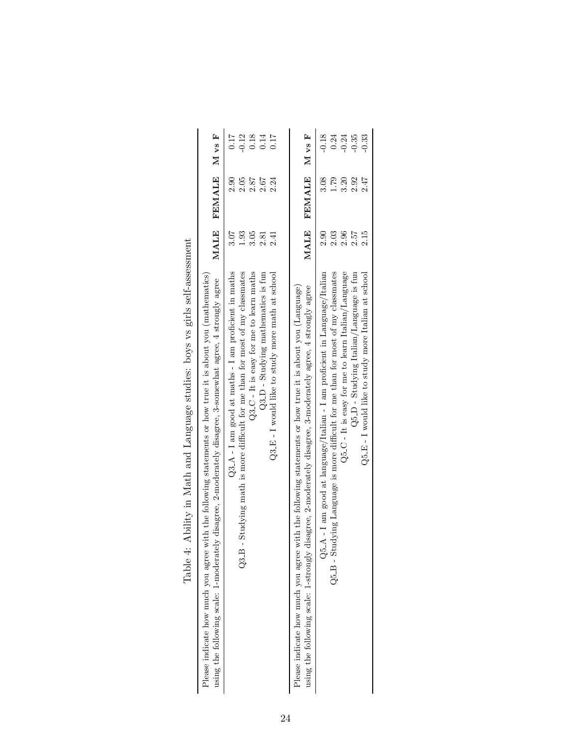|                                                                              |                                                                                                                                                                                                                           | 0.17<br>$-0.12$                                                                                                                              | 0.18                                      | $0.14\,$                             | 0.17                                               | M vs F                                                                                                                                                                                                                 | $-0.18$                                                                      | 0.24                                                                             | $-0.24$                                              | $-0.35$                                   | 0.33                                                  |  |
|------------------------------------------------------------------------------|---------------------------------------------------------------------------------------------------------------------------------------------------------------------------------------------------------------------------|----------------------------------------------------------------------------------------------------------------------------------------------|-------------------------------------------|--------------------------------------|----------------------------------------------------|------------------------------------------------------------------------------------------------------------------------------------------------------------------------------------------------------------------------|------------------------------------------------------------------------------|----------------------------------------------------------------------------------|------------------------------------------------------|-------------------------------------------|-------------------------------------------------------|--|
|                                                                              | FEMALE M vs F                                                                                                                                                                                                             | 2.05<br>2.90                                                                                                                                 | 2.87                                      | $2.67$                               | 2.24                                               | <b>FEMALE</b>                                                                                                                                                                                                          | 3.08                                                                         | 1.79                                                                             | 3.20                                                 | 2.92                                      | 2.47                                                  |  |
|                                                                              | MALE                                                                                                                                                                                                                      | 1.93<br>3.07                                                                                                                                 | 3.05                                      | 2.81                                 | 2.41                                               | MALE                                                                                                                                                                                                                   | 2.90                                                                         | 2.03                                                                             | 2.96                                                 | 2.57                                      | 2.15                                                  |  |
| Table 4: Ability in Math and Language studies: boys vs girls self-assessment | Please indicate how much you agree with the following statements or how true it is about you (mathematics)<br>using the following scale: 1-moderately disagree, 2-moderately disagree, 3-somewhat agree, 4 strongly agree | $Q3.A - I$ am good at maths $-I$ am proficient in maths<br>- Studying math is more difficult for me than for most of my classmates<br>$Q3-B$ | $Q3-C$ - It is easy for me to learn maths | $Q3.D$ - Studying mathematics is fun | $Q3-E$ - I would like to study more math at school | Please indicate how much you agree with the following statements or how true it is about you (Language)<br>using the following scale: 1-strongly disagree, 2-moderately disagree, 3-moderately agree, 4 strongly agree | $Q5_A - I$ am good at language/Italian - I am proficient in Language/Italian | Q5.B - Studying Language is more difficult for me than for most of my classmates | $Q5_C - It$ is easy for me to learn Italian/Language | $Q5.D$ - Studying Italian/Language is fun | $Q5.E$ - I would like to study more Italian at school |  |

| <b>Poster All Carried Control</b>                                       |
|-------------------------------------------------------------------------|
|                                                                         |
|                                                                         |
|                                                                         |
| hilter in Math and Language stad. hore re grupper active and            |
|                                                                         |
|                                                                         |
|                                                                         |
|                                                                         |
| TWO IS IN THE STATES.<br>$\frac{1}{2}$<br>$\overline{\phantom{a}}$<br>l |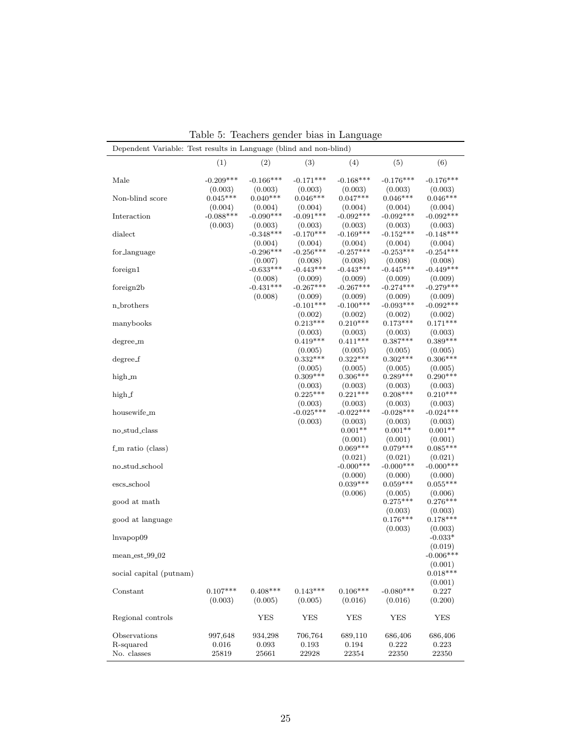| Dependent Variable: Test results in Language (blind and non-blind) |                           |                           |                           |                           |                           |                             |
|--------------------------------------------------------------------|---------------------------|---------------------------|---------------------------|---------------------------|---------------------------|-----------------------------|
|                                                                    | (1)                       | (2)                       | (3)                       | (4)                       | (5)                       | (6)                         |
| Male                                                               | $-0.209***$               | $-0.166***$               | $-0.171***$               | $-0.168***$               | $-0.176***$               | $-0.176***$                 |
| Non-blind score                                                    | (0.003)<br>$0.045***$     | (0.003)<br>$0.040***$     | (0.003)<br>$0.046***$     | (0.003)<br>$0.047***$     | (0.003)<br>$0.046***$     | (0.003)<br>$0.046***$       |
| Interaction                                                        | (0.004)<br>$-0.088***$    | (0.004)<br>$-0.090***$    | (0.004)<br>$-0.091***$    | (0.004)<br>$-0.092***$    | (0.004)<br>$-0.092***$    | (0.004)<br>$-0.092***$      |
| dialect                                                            | (0.003)                   | (0.003)<br>$-0.348***$    | (0.003)<br>$-0.170***$    | (0.003)<br>$-0.169***$    | (0.003)<br>$-0.152***$    | (0.003)<br>$-0.148***$      |
| for_language                                                       |                           | (0.004)<br>$-0.296***$    | (0.004)<br>$-0.256***$    | (0.004)<br>$-0.257***$    | (0.004)<br>$-0.253***$    | (0.004)<br>$-0.254***$      |
| foreign1                                                           |                           | (0.007)<br>$-0.633***$    | (0.008)<br>$-0.443***$    | (0.008)<br>$-0.443***$    | (0.008)<br>$-0.445***$    | (0.008)<br>$-0.449***$      |
| foreign2b                                                          |                           | (0.008)<br>$-0.431***$    | (0.009)<br>$-0.267***$    | (0.009)<br>$-0.267***$    | (0.009)<br>$-0.274***$    | (0.009)<br>$-0.279***$      |
| n_brothers                                                         |                           | (0.008)                   | (0.009)<br>$-0.101***$    | (0.009)<br>$-0.100***$    | (0.009)<br>$-0.093***$    | (0.009)<br>$-0.092***$      |
| manybooks                                                          |                           |                           | (0.002)<br>$0.213***$     | (0.002)<br>$0.210***$     | (0.002)<br>$0.173***$     | (0.002)<br>$0.171***$       |
| degree_m                                                           |                           |                           | (0.003)<br>$0.419***$     | (0.003)<br>$0.411***$     | (0.003)<br>$0.387***$     | (0.003)<br>$0.389***$       |
| $\operatorname{degree\_f}$                                         |                           |                           | (0.005)<br>$0.332***$     | (0.005)<br>$0.322***$     | (0.005)<br>$0.302***$     | (0.005)<br>$0.306***$       |
| high_m                                                             |                           |                           | (0.005)<br>$0.309***$     | (0.005)<br>$0.306***$     | (0.005)<br>$0.289***$     | (0.005)<br>$0.290***$       |
| high_f                                                             |                           |                           | (0.003)<br>$0.225***$     | (0.003)<br>$0.221***$     | (0.003)<br>$0.208***$     | (0.003)<br>$0.210***$       |
| housewife_m                                                        |                           |                           | (0.003)<br>$-0.025***$    | (0.003)<br>$-0.022***$    | (0.003)<br>$-0.028***$    | (0.003)<br>$-0.024***$      |
| no_stud_class                                                      |                           |                           | (0.003)                   | (0.003)<br>$0.001**$      | (0.003)<br>$0.001**$      | (0.003)<br>$0.001**$        |
| f_m ratio (class)                                                  |                           |                           |                           | (0.001)<br>$0.069***$     | (0.001)<br>$0.079***$     | (0.001)<br>$0.085***$       |
| no_stud_school                                                     |                           |                           |                           | (0.021)<br>$-0.000***$    | (0.021)<br>$-0.000***$    | (0.021)<br>$-0.000***$      |
| escs_school                                                        |                           |                           |                           | (0.000)<br>$0.039***$     | (0.000)<br>$0.059***$     | (0.000)<br>$0.055***$       |
| good at math                                                       |                           |                           |                           | (0.006)                   | (0.005)<br>$0.275***$     | (0.006)<br>$0.276***$       |
| good at language                                                   |                           |                           |                           |                           | (0.003)<br>$0.176***$     | (0.003)<br>$0.178***$       |
| lnvapop09                                                          |                           |                           |                           |                           | (0.003)                   | (0.003)<br>$-0.033*$        |
| mean_est_99_02                                                     |                           |                           |                           |                           |                           | (0.019)<br>$-0.006***$      |
| social capital (putnam)                                            |                           |                           |                           |                           |                           | (0.001)<br>$0.018***$       |
| Constant                                                           | $0.107***$<br>(0.003)     | $0.408***$<br>(0.005)     | $0.143***$<br>(0.005)     | $0.106***$<br>(0.016)     | $-0.080***$<br>(0.016)    | (0.001)<br>0.227<br>(0.200) |
| Regional controls                                                  |                           | YES                       | <b>YES</b>                | YES                       | YES                       | YES                         |
| Observations<br>R-squared<br>No. classes                           | 997,648<br>0.016<br>25819 | 934,298<br>0.093<br>25661 | 706,764<br>0.193<br>22928 | 689,110<br>0.194<br>22354 | 686,406<br>0.222<br>22350 | 686,406<br>0.223<br>22350   |

Table 5: Teachers gender bias in Language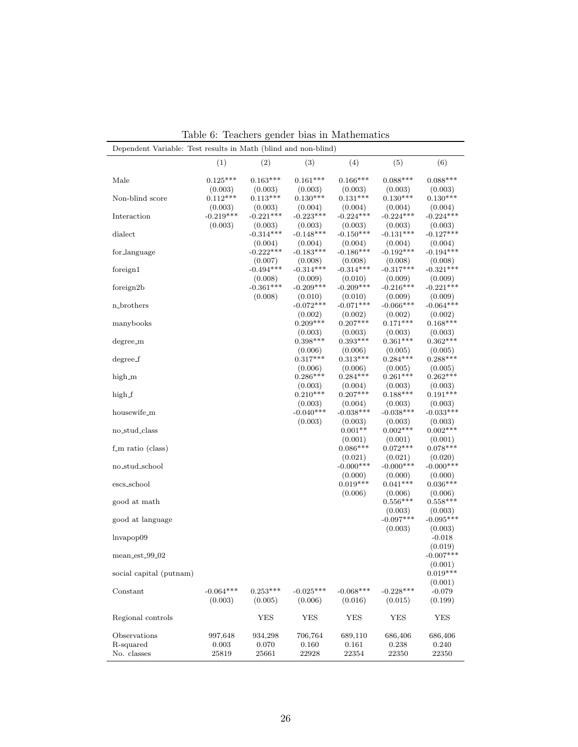| Dependent Variable: Test results in Math (blind and non-blind) |                        |                        |                        |                        |                        |                        |
|----------------------------------------------------------------|------------------------|------------------------|------------------------|------------------------|------------------------|------------------------|
|                                                                | (1)                    | (2)                    | (3)                    | (4)                    | (5)                    | (6)                    |
| Male                                                           | $0.125***$             | $0.163***$             | $0.161***$             | $0.166***$             | $0.088***$             | $0.088***$             |
|                                                                | (0.003)                | (0.003)                | (0.003)                | (0.003)                | (0.003)                | (0.003)                |
| Non-blind score                                                | $0.112***$<br>(0.003)  | $0.113***$<br>(0.003)  | $0.130***$<br>(0.004)  | $0.131***$<br>(0.004)  | $0.130***$<br>(0.004)  | $0.130***$<br>(0.004)  |
| Interaction                                                    | $-0.219***$            | $-0.221***$            | $-0.223***$            | $-0.224***$            | $-0.224***$            | $-0.224***$            |
|                                                                | (0.003)                | (0.003)                | (0.003)                | (0.003)                | (0.003)                | (0.003)                |
| dialect                                                        |                        | $-0.314***$            | $-0.148***$            | $-0.150***$            | $-0.131***$            | $-0.127***$            |
|                                                                |                        | (0.004)<br>$-0.222***$ | (0.004)                | (0.004)<br>$-0.186***$ | (0.004)                | (0.004)<br>$-0.194***$ |
| for_language                                                   |                        | (0.007)                | $-0.183***$<br>(0.008) | (0.008)                | $-0.192***$<br>(0.008) | (0.008)                |
| foreign1                                                       |                        | $-0.494***$            | $-0.314***$            | $-0.314***$            | $-0.317***$            | $-0.321***$            |
|                                                                |                        | (0.008)                | (0.009)                | (0.010)                | (0.009)                | (0.009)                |
| foreign2b                                                      |                        | $-0.361***$            | $-0.209***$            | $-0.209***$            | $-0.216***$            | $-0.221***$            |
|                                                                |                        | (0.008)                | (0.010)                | (0.010)                | (0.009)                | (0.009)                |
| n_brothers                                                     |                        |                        | $-0.072***$            | $-0.071***$<br>(0.002) | $-0.066***$            | $-0.064***$<br>(0.002) |
| manybooks                                                      |                        |                        | (0.002)<br>$0.209***$  | $0.207***$             | (0.002)<br>$0.171***$  | $0.168***$             |
|                                                                |                        |                        | (0.003)                | (0.003)                | (0.003)                | (0.003)                |
| degree_m                                                       |                        |                        | $0.398***$             | $0.393***$             | $0.361***$             | $0.362***$             |
|                                                                |                        |                        | (0.006)                | (0.006)                | (0.005)                | (0.005)                |
| degree_f                                                       |                        |                        | $0.317***$             | $0.313***$             | $0.284***$             | $0.288***$             |
| high_m                                                         |                        |                        | (0.006)<br>$0.286***$  | (0.006)<br>$0.284***$  | (0.005)<br>$0.261***$  | (0.005)<br>$0.262***$  |
|                                                                |                        |                        | (0.003)                | (0.004)                | (0.003)                | (0.003)                |
| high_f                                                         |                        |                        | $0.210***$             | $0.207***$             | $0.188***$             | $0.191***$             |
|                                                                |                        |                        | (0.003)                | (0.004)                | (0.003)                | (0.003)                |
| housewife_m                                                    |                        |                        | $-0.040***$            | $-0.038***$            | $-0.038***$            | $-0.033***$            |
| no_stud_class                                                  |                        |                        | (0.003)                | (0.003)<br>$0.001**$   | (0.003)<br>$0.002***$  | (0.003)<br>$0.002***$  |
|                                                                |                        |                        |                        | (0.001)                | (0.001)                | (0.001)                |
| f_m ratio (class)                                              |                        |                        |                        | $0.086***$             | $0.072***$             | $0.078***$             |
|                                                                |                        |                        |                        | (0.021)                | (0.021)                | (0.020)                |
| no_stud_school                                                 |                        |                        |                        | $-0.000***$            | $-0.000***$            | $-0.000***$            |
|                                                                |                        |                        |                        | (0.000)<br>$0.019***$  | (0.000)<br>$0.041***$  | (0.000)<br>$0.036***$  |
| escs_school                                                    |                        |                        |                        | (0.006)                | (0.006)                | (0.006)                |
| good at math                                                   |                        |                        |                        |                        | $0.556***$             | $0.558***$             |
|                                                                |                        |                        |                        |                        | (0.003)                | (0.003)                |
| good at language                                               |                        |                        |                        |                        | $-0.097***$            | $-0.095***$            |
|                                                                |                        |                        |                        |                        | (0.003)                | (0.003)                |
| lnvapop09                                                      |                        |                        |                        |                        |                        | $-0.018$<br>(0.019)    |
| mean_est_99_02                                                 |                        |                        |                        |                        |                        | $-0.007***$            |
|                                                                |                        |                        |                        |                        |                        | (0.001)                |
| social capital (putnam)                                        |                        |                        |                        |                        |                        | $0.019***$             |
|                                                                |                        |                        |                        |                        |                        | (0.001)                |
| Constant                                                       | $-0.064***$<br>(0.003) | $0.253***$<br>(0.005)  | $-0.025***$<br>(0.006) | $-0.068***$<br>(0.016) | $-0.228***$<br>(0.015) | $-0.079$<br>(0.199)    |
|                                                                |                        |                        |                        |                        |                        |                        |
| Regional controls                                              |                        | YES                    | <b>YES</b>             | YES                    | <b>YES</b>             | YES                    |
| Observations                                                   | 997,648                | 934,298                | 706,764                | 689,110                | 686,406                | 686,406                |
| R-squared                                                      | 0.003                  | 0.070                  | 0.160                  | 0.161                  | 0.238                  | 0.240                  |
| No. classes                                                    | 25819                  | 25661                  | 22928                  | 22354                  | 22350                  | 22350                  |

Table 6: Teachers gender bias in Mathematics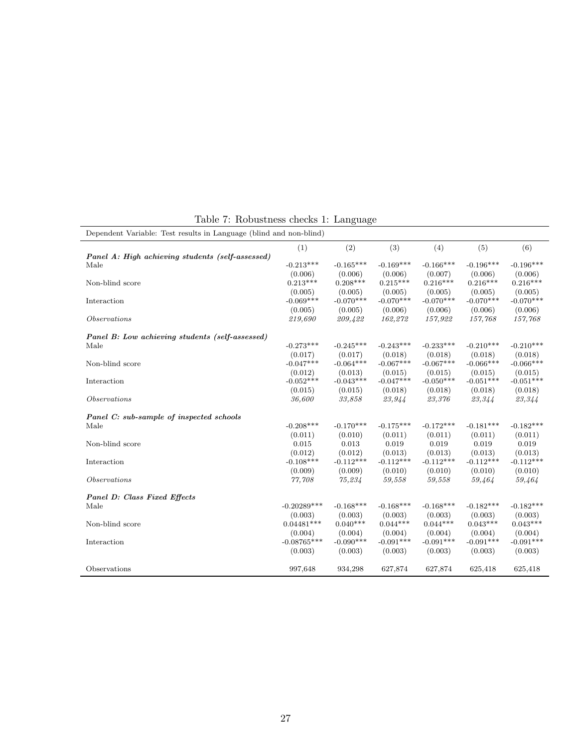| Dependent Variable: Test results in Language (blind and non-blind) |               |             |             |             |             |             |
|--------------------------------------------------------------------|---------------|-------------|-------------|-------------|-------------|-------------|
|                                                                    | (1)           | (2)         | (3)         | (4)         | (5)         | (6)         |
| Panel A: High achieving students (self-assessed)                   |               |             |             |             |             |             |
| Male                                                               | $-0.213***$   | $-0.165***$ | $-0.169***$ | $-0.166***$ | $-0.196***$ | $-0.196***$ |
|                                                                    | (0.006)       | (0.006)     | (0.006)     | (0.007)     | (0.006)     | (0.006)     |
| Non-blind score                                                    | $0.213***$    | $0.208***$  | $0.215***$  | $0.216***$  | $0.216***$  | $0.216***$  |
|                                                                    | (0.005)       | (0.005)     | (0.005)     | (0.005)     | (0.005)     | (0.005)     |
| Interaction                                                        | $-0.069***$   | $-0.070***$ | $-0.070***$ | $-0.070***$ | $-0.070***$ | $-0.070***$ |
|                                                                    | (0.005)       | (0.005)     | (0.006)     | (0.006)     | (0.006)     | (0.006)     |
| <i>Observations</i>                                                | 219,690       | 209,422     | 162,272     | 157,922     | 157,768     | 157,768     |
| Panel B: Low achieving students (self-assessed)                    |               |             |             |             |             |             |
| Male                                                               | $-0.273***$   | $-0.245***$ | $-0.243***$ | $-0.233***$ | $-0.210***$ | $-0.210***$ |
|                                                                    | (0.017)       | (0.017)     | (0.018)     | (0.018)     | (0.018)     | (0.018)     |
| Non-blind score                                                    | $-0.047***$   | $-0.064***$ | $-0.067***$ | $-0.067***$ | $-0.066***$ | $-0.066***$ |
|                                                                    | (0.012)       | (0.013)     | (0.015)     | (0.015)     | (0.015)     | (0.015)     |
| Interaction                                                        | $-0.052***$   | $-0.043***$ | $-0.047***$ | $-0.050***$ | $-0.051***$ | $-0.051***$ |
|                                                                    | (0.015)       | (0.015)     | (0.018)     | (0.018)     | (0.018)     | (0.018)     |
| <i>Observations</i>                                                | 36,600        | 33,858      | 23,944      | 23,376      | 23,344      | 23,344      |
| Panel C: sub-sample of inspected schools                           |               |             |             |             |             |             |
| Male                                                               | $-0.208***$   | $-0.170***$ | $-0.175***$ | $-0.172***$ | $-0.181***$ | $-0.182***$ |
|                                                                    | (0.011)       | (0.010)     | (0.011)     | (0.011)     | (0.011)     | (0.011)     |
| Non-blind score                                                    | 0.015         | 0.013       | 0.019       | 0.019       | 0.019       | 0.019       |
|                                                                    | (0.012)       | (0.012)     | (0.013)     | (0.013)     | (0.013)     | (0.013)     |
| Interaction                                                        | $-0.108***$   | $-0.112***$ | $-0.112***$ | $-0.112***$ | $-0.112***$ | $-0.112***$ |
|                                                                    | (0.009)       | (0.009)     | (0.010)     | (0.010)     | (0.010)     | (0.010)     |
| <i>Observations</i>                                                | 77,708        | 75,234      | 59,558      | 59,558      | 59,464      | 59,464      |
| <b>Panel D: Class Fixed Effects</b>                                |               |             |             |             |             |             |
| Male                                                               | $-0.20289***$ | $-0.168***$ | $-0.168***$ | $-0.168***$ | $-0.182***$ | $-0.182***$ |
|                                                                    | (0.003)       | (0.003)     | (0.003)     | (0.003)     | (0.003)     | (0.003)     |
| Non-blind score                                                    | $0.04481***$  | $0.040***$  | $0.044***$  | $0.044***$  | $0.043***$  | $0.043***$  |
|                                                                    | (0.004)       | (0.004)     | (0.004)     | (0.004)     | (0.004)     | (0.004)     |
| Interaction                                                        | $-0.08765***$ | $-0.090***$ | $-0.091***$ | $-0.091***$ | $-0.091***$ | $-0.091***$ |
|                                                                    | (0.003)       | (0.003)     | (0.003)     | (0.003)     | (0.003)     | (0.003)     |
| Observations                                                       | 997,648       | 934,298     | 627,874     | 627,874     | 625,418     | 625,418     |

Table 7: Robustness checks 1: Language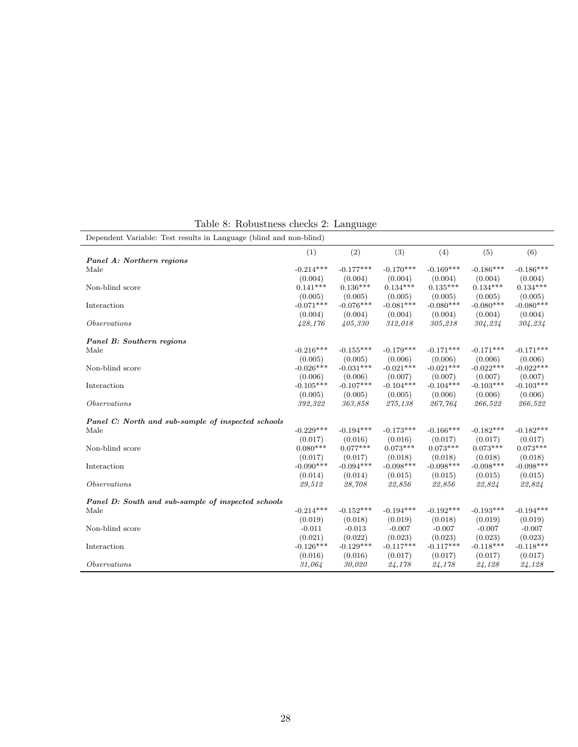| Dependent Variable: Test results in Language (blind and non-blind) |             |             |             |             |             |             |
|--------------------------------------------------------------------|-------------|-------------|-------------|-------------|-------------|-------------|
|                                                                    | (1)         | (2)         | (3)         | (4)         | (5)         | (6)         |
| Panel A: Northern regions                                          |             |             |             |             |             |             |
| Male                                                               | $-0.214***$ | $-0.177***$ | $-0.170***$ | $-0.169***$ | $-0.186***$ | $-0.186***$ |
|                                                                    | (0.004)     | (0.004)     | (0.004)     | (0.004)     | (0.004)     | (0.004)     |
| Non-blind score                                                    | $0.141***$  | $0.136***$  | $0.134***$  | $0.135***$  | $0.134***$  | $0.134***$  |
|                                                                    | (0.005)     | (0.005)     | (0.005)     | (0.005)     | (0.005)     | (0.005)     |
| Interaction                                                        | $-0.071***$ | $-0.076***$ | $-0.081***$ | $-0.080***$ | $-0.080***$ | $-0.080***$ |
|                                                                    | (0.004)     | (0.004)     | (0.004)     | (0.004)     | (0.004)     | (0.004)     |
| <i>Observations</i>                                                | 428,176     | 405,330     | 312,018     | 305,218     | 304,234     | 304,234     |
| Panel B: Southern regions                                          |             |             |             |             |             |             |
| Male                                                               | $-0.216***$ | $-0.155***$ | $-0.179***$ | $-0.171***$ | $-0.171***$ | $-0.171***$ |
|                                                                    | (0.005)     | (0.005)     | (0.006)     | (0.006)     | (0.006)     | (0.006)     |
| Non-blind score                                                    | $-0.026***$ | $-0.031***$ | $-0.021***$ | $-0.021***$ | $-0.022***$ | $-0.022***$ |
|                                                                    | (0.006)     | (0.006)     | (0.007)     | (0.007)     | (0.007)     | (0.007)     |
| Interaction                                                        | $-0.105***$ | $-0.107***$ | $-0.104***$ | $-0.104***$ | $-0.103***$ | $-0.103***$ |
|                                                                    | (0.005)     | (0.005)     | (0.005)     | (0.006)     | (0.006)     | (0.006)     |
| <i>Observations</i>                                                | 392,322     | 363,858     | 275,138     | 267,764     | 266,522     | 266,522     |
| Panel C: North and sub-sample of inspected schools                 |             |             |             |             |             |             |
| Male                                                               | $-0.229***$ | $-0.194***$ | $-0.173***$ | $-0.166***$ | $-0.182***$ | $-0.182***$ |
|                                                                    | (0.017)     | (0.016)     | (0.016)     | (0.017)     | (0.017)     | (0.017)     |
| Non-blind score                                                    | $0.080***$  | $0.077***$  | $0.073***$  | $0.073***$  | $0.073***$  | $0.073***$  |
|                                                                    | (0.017)     | (0.017)     | (0.018)     | (0.018)     | (0.018)     | (0.018)     |
| Interaction                                                        | $-0.090***$ | $-0.094***$ | $-0.098***$ | $-0.098***$ | $-0.098***$ | $-0.098***$ |
|                                                                    | (0.014)     | (0.014)     | (0.015)     | (0.015)     | (0.015)     | (0.015)     |
| <i>Observations</i>                                                | 29,512      | 28,708      | 22,856      | 22,856      | 22,824      | 22,824      |
| Panel D: South and sub-sample of inspected schools                 |             |             |             |             |             |             |
| Male                                                               | $-0.214***$ | $-0.152***$ | $-0.194***$ | $-0.192***$ | $-0.193***$ | $-0.194***$ |
|                                                                    | (0.019)     | (0.018)     | (0.019)     | (0.018)     | (0.019)     | (0.019)     |
| Non-blind score                                                    | $-0.011$    | $-0.013$    | $-0.007$    | $-0.007$    | $-0.007$    | $-0.007$    |
|                                                                    | (0.021)     | (0.022)     | (0.023)     | (0.023)     | (0.023)     | (0.023)     |
| Interaction                                                        | $-0.126***$ | $-0.129***$ | $-0.117***$ | $-0.117***$ | $-0.118***$ | $-0.118***$ |
|                                                                    | (0.016)     | (0.016)     | (0.017)     | (0.017)     | (0.017)     | (0.017)     |
| <i>Observations</i>                                                | 31,064      | 30,020      | 24,178      | 24,178      | 24,128      | 24,128      |

Table 8: Robustness checks 2: Language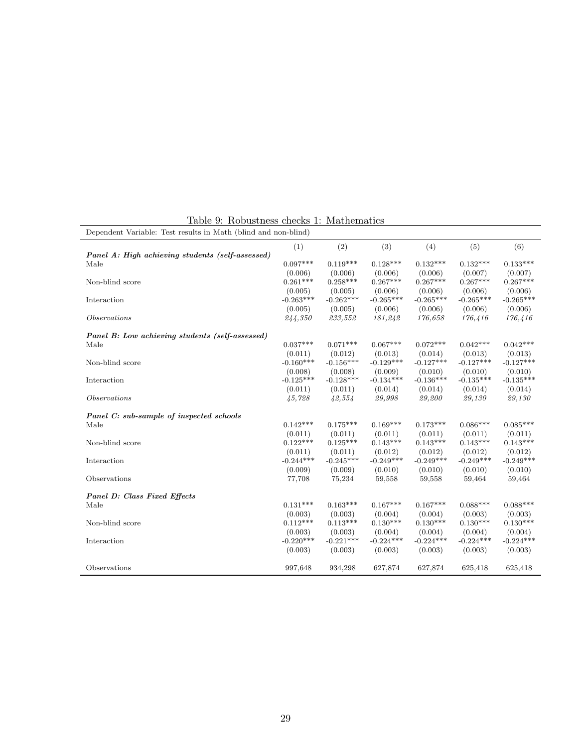| Dependent Variable: Test results in Math (blind and non-blind) |             |             |             |             |             |             |  |  |  |  |
|----------------------------------------------------------------|-------------|-------------|-------------|-------------|-------------|-------------|--|--|--|--|
|                                                                | (1)         | (2)         | (3)         | (4)         | (5)         | (6)         |  |  |  |  |
| Panel A: High achieving students (self-assessed)               |             |             |             |             |             |             |  |  |  |  |
| Male                                                           | $0.097***$  | $0.119***$  | $0.128***$  | $0.132***$  | $0.132***$  | $0.133***$  |  |  |  |  |
|                                                                | (0.006)     | (0.006)     | (0.006)     | (0.006)     | (0.007)     | (0.007)     |  |  |  |  |
| Non-blind score                                                | $0.261***$  | $0.258***$  | $0.267***$  | $0.267***$  | $0.267***$  | $0.267***$  |  |  |  |  |
|                                                                | (0.005)     | (0.005)     | (0.006)     | (0.006)     | (0.006)     | (0.006)     |  |  |  |  |
| Interaction                                                    | $-0.263***$ | $-0.262***$ | $-0.265***$ | $-0.265***$ | $-0.265***$ | $-0.265***$ |  |  |  |  |
|                                                                | (0.005)     | (0.005)     | (0.006)     | (0.006)     | (0.006)     | (0.006)     |  |  |  |  |
| <i>Observations</i>                                            | 244,350     | 233,552     | 181,242     | 176,658     | 176,416     | 176,416     |  |  |  |  |
| Panel B: Low achieving students (self-assessed)                |             |             |             |             |             |             |  |  |  |  |
| Male                                                           | $0.037***$  | $0.071***$  | $0.067***$  | $0.072***$  | $0.042***$  | $0.042***$  |  |  |  |  |
|                                                                | (0.011)     | (0.012)     | (0.013)     | (0.014)     | (0.013)     | (0.013)     |  |  |  |  |
| Non-blind score                                                | $-0.160***$ | $-0.156***$ | $-0.129***$ | $-0.127***$ | $-0.127***$ | $-0.127***$ |  |  |  |  |
|                                                                | (0.008)     | (0.008)     | (0.009)     | (0.010)     | (0.010)     | (0.010)     |  |  |  |  |
| Interaction                                                    | $-0.125***$ | $-0.128***$ | $-0.134***$ | $-0.136***$ | $-0.135***$ | $-0.135***$ |  |  |  |  |
|                                                                | (0.011)     | (0.011)     | (0.014)     | (0.014)     | (0.014)     | (0.014)     |  |  |  |  |
| <i>Observations</i>                                            | 45,728      | 42,554      | 29,998      | 29,200      | 29,130      | 29,130      |  |  |  |  |
| Panel C: sub-sample of inspected schools                       |             |             |             |             |             |             |  |  |  |  |
| Male                                                           | $0.142***$  | $0.175***$  | $0.169***$  | $0.173***$  | $0.086***$  | $0.085***$  |  |  |  |  |
|                                                                | (0.011)     | (0.011)     | (0.011)     | (0.011)     | (0.011)     | (0.011)     |  |  |  |  |
| Non-blind score                                                | $0.122***$  | $0.125***$  | $0.143***$  | $0.143***$  | $0.143***$  | $0.143***$  |  |  |  |  |
|                                                                | (0.011)     | (0.011)     | (0.012)     | (0.012)     | (0.012)     | (0.012)     |  |  |  |  |
| Interaction                                                    | $-0.244***$ | $-0.245***$ | $-0.249***$ | $-0.249***$ | $-0.249***$ | $-0.249***$ |  |  |  |  |
|                                                                | (0.009)     | (0.009)     | (0.010)     | (0.010)     | (0.010)     | (0.010)     |  |  |  |  |
| Observations                                                   | 77,708      | 75,234      | 59,558      | 59,558      | 59,464      | 59,464      |  |  |  |  |
| <b>Panel D: Class Fixed Effects</b>                            |             |             |             |             |             |             |  |  |  |  |
| Male                                                           | $0.131***$  | $0.163***$  | $0.167***$  | $0.167***$  | $0.088***$  | $0.088***$  |  |  |  |  |
|                                                                | (0.003)     | (0.003)     | (0.004)     | (0.004)     | (0.003)     | (0.003)     |  |  |  |  |
| Non-blind score                                                | $0.112***$  | $0.113***$  | $0.130***$  | $0.130***$  | $0.130***$  | $0.130***$  |  |  |  |  |
|                                                                | (0.003)     | (0.003)     | (0.004)     | (0.004)     | (0.004)     | (0.004)     |  |  |  |  |
| Interaction                                                    | $-0.220***$ | $-0.221***$ | $-0.224***$ | $-0.224***$ | $-0.224***$ | $-0.224***$ |  |  |  |  |
|                                                                | (0.003)     | (0.003)     | (0.003)     | (0.003)     | (0.003)     | (0.003)     |  |  |  |  |
| Observations                                                   | 997,648     | 934,298     | 627,874     | 627,874     | 625,418     | 625,418     |  |  |  |  |
|                                                                |             |             |             |             |             |             |  |  |  |  |

Table 9: Robustness checks 1: Mathematics